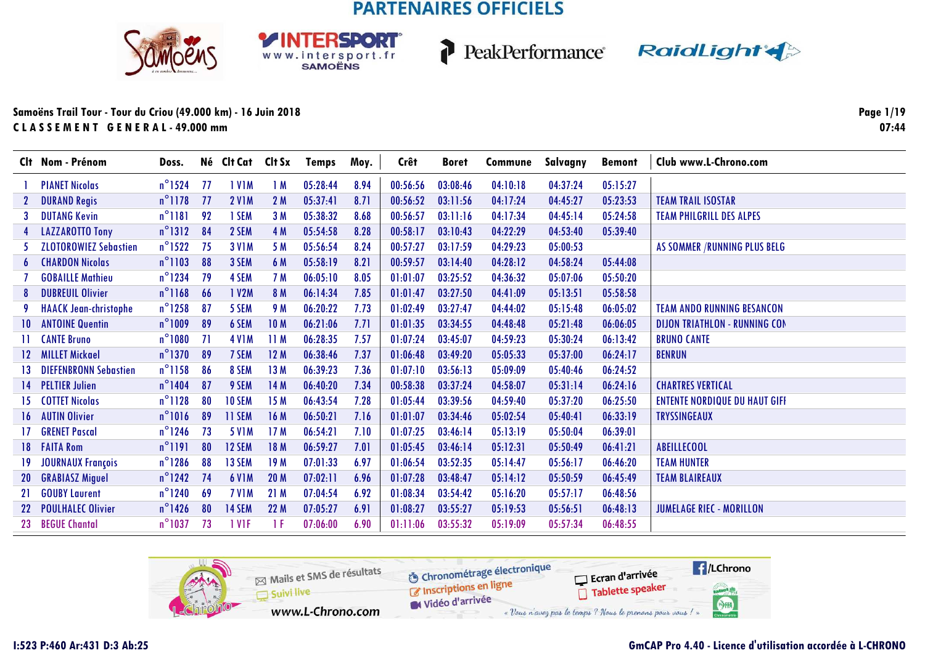**RSDORT** 

WWW.intersport.fr





#### **Samoëns Trail Tour - Tour du Criou (49.000 km) - 16 Juin 2018C L A S S E M E N T G E N E R A L - 49.000 mm**

**Page 1/1907:44**

|                | Clt Nom - Prénom             | Doss.            |     | Né Clt Cat Clt Sx |                 | Temps    | Moy. | Crêt     | <b>Boret</b> | <b>Commune</b> | Salvagny | <b>Bemont</b> | Club www.L-Chrono.com                |
|----------------|------------------------------|------------------|-----|-------------------|-----------------|----------|------|----------|--------------|----------------|----------|---------------|--------------------------------------|
|                | <b>PIANET Nicolas</b>        | $n^{\circ}$ 1524 | -77 | <b>IVIM</b>       | 1M              | 05:28:44 | 8.94 | 00:56:56 | 03:08:46     | 04:10:18       | 04:37:24 | 05:15:27      |                                      |
| 2 <sup>1</sup> | <b>DURAND Regis</b>          | $n^{\circ}$ 1178 | 77  | <b>2 V1M</b>      | 2M              | 05:37:41 | 8.71 | 00:56:52 | 03:11:56     | 04:17:24       | 04:45:27 | 05:23:53      | <b>TEAM TRAIL ISOSTAR</b>            |
|                | <b>DUTANG Kevin</b>          | $n^{\circ}1181$  | 92  | 1 SEM             | 3M              | 05:38:32 | 8.68 | 00:56:57 | 03:11:16     | 04:17:34       | 04:45:14 | 05:24:58      | <b>TEAM PHILGRILL DES ALPES</b>      |
|                | LAZZAROTTO Tony              | $n^{\circ}$ 1312 | 84  | 2 SEM             | 4 M             | 05:54:58 | 8.28 | 00:58:17 | 03:10:43     | 04:22:29       | 04:53:40 | 05:39:40      |                                      |
|                | <b>ZLOTOROWIEZ Sebastien</b> | $n^{\circ}$ 1522 | 75  | <b>3 V1M</b>      | 5 M             | 05:56:54 | 8.24 | 00:57:27 | 03:17:59     | 04:29:23       | 05:00:53 |               | AS SOMMER / RUNNING PLUS BELG        |
| 6              | <b>CHARDON Nicolas</b>       | $n^{\circ}$ 1103 | 88  | 3 SEM             | 6 M             | 05:58:19 | 8.21 | 00:59:57 | 03:14:40     | 04:28:12       | 04:58:24 | 05:44:08      |                                      |
|                | <b>GOBAILLE Mathieu</b>      | $n^{\circ}$ 1234 | 79  | 4 SEM             | 7 M             | 06:05:10 | 8.05 | 01:01:07 | 03:25:52     | 04:36:32       | 05:07:06 | 05:50:20      |                                      |
| 8              | <b>DUBREUIL Olivier</b>      | $n^{\circ}$ 1168 | 66  | 1 V2M             | 8 M             | 06:14:34 | 7.85 | 01:01:47 | 03:27:50     | 04:41:09       | 05:13:51 | 05:58:58      |                                      |
|                | <b>HAACK Jean-christophe</b> | $n^{\circ}$ 1258 | 87  | 5 SEM             | 9 M             | 06:20:22 | 7.73 | 01:02:49 | 03:27:47     | 04:44:02       | 05:15:48 | 06:05:02      | <b>TEAM ANDO RUNNING BESANCON</b>    |
|                | <b>ANTOINE Quentin</b>       | $n^{\circ}1009$  | -89 | 6 SEM             | 10 <sub>M</sub> | 06:21:06 | 7.71 | 01:01:35 | 03:34:55     | 04:48:48       | 05:21:48 | 06:06:05      | <b>DIJON TRIATHLON - RUNNING CON</b> |
|                | <b>CANTE Bruno</b>           | $n^{\circ}1080$  | 71  | <b>4 V1M</b>      | 11M             | 06:28:35 | 7.57 | 01:07:24 | 03:45:07     | 04:59:23       | 05:30:24 | 06:13:42      | <b>BRUNO CANTE</b>                   |
|                | <b>MILLET Mickael</b>        | $n^{\circ}$ 1370 | 89  | 7 SEM             | 12M             | 06:38:46 | 7.37 | 01:06:48 | 03:49:20     | 05:05:33       | 05:37:00 | 06:24:17      | <b>BENRUN</b>                        |
|                | <b>DIEFENBRONN Sebastien</b> | $n^{\circ}1158$  | 86  | 8 SEM             | 13M             | 06:39:23 | 7.36 | 01:07:10 | 03:56:13     | 05:09:09       | 05:40:46 | 06:24:52      |                                      |
| 14             | <b>PELTIER Julien</b>        | $n^{\circ}$ 1404 | 87  | 9 SEM             | 14M             | 06:40:20 | 7.34 | 00:58:38 | 03:37:24     | 04:58:07       | 05:31:14 | 06:24:16      | <b>CHARTRES VERTICAL</b>             |
| 15.            | <b>COTTET Nicolas</b>        | $n^{\circ}$ 1128 | 80  | <b>10 SEM</b>     | 15 M            | 06:43:54 | 7.28 | 01:05:44 | 03:39:56     | 04:59:40       | 05:37:20 | 06:25:50      | <b>ENTENTE NORDIQUE DU HAUT GIFI</b> |
| 16.            | <b>AUTIN Olivier</b>         | $n^{\circ}1016$  | 89  | 11 SEM            | 16 M            | 06:50:21 | 7.16 | 01:01:07 | 03:34:46     | 05:02:54       | 05:40:41 | 06:33:19      | <b>TRYSSINGEAUX</b>                  |
|                | <b>GRENET Pascal</b>         | $n^{\circ}$ 1246 | 73  | <b>5 V1M</b>      | 17 <sub>M</sub> | 06:54:21 | 7.10 | 01:07:25 | 03:46:14     | 05:13:19       | 05:50:04 | 06:39:01      |                                      |
| 18.            | <b>FAITA Rom</b>             | $n^{\circ}1191$  | 80  | 12 SEM            | 18 M            | 06:59:27 | 7.01 | 01:05:45 | 03:46:14     | 05:12:31       | 05:50:49 | 06:41:21      | <b>ABEILLECOOL</b>                   |
| 19             | <b>JOURNAUX François</b>     | $n^{\circ}$ 1286 | 88  | 13 SEM            | 19 <sub>M</sub> | 07:01:33 | 6.97 | 01:06:54 | 03:52:35     | 05:14:47       | 05:56:17 | 06:46:20      | <b>TEAM HUNTER</b>                   |
| 20             | <b>GRABIASZ Miguel</b>       | $n^{\circ}$ 1242 | 74  | 6 VIM             | <b>20 M</b>     | 07:02:11 | 6.96 | 01:07:28 | 03:48:47     | 05:14:12       | 05:50:59 | 06:45:49      | TEAM BLAIREAUX                       |
| 21             | <b>GOUBY Laurent</b>         | $n^{\circ}$ 1240 | 69  | <b>7 V1M</b>      | 21 M            | 07:04:54 | 6.92 | 01:08:34 | 03:54:42     | 05:16:20       | 05:57:17 | 06:48:56      |                                      |
| 22             | <b>POULHALEC Olivier</b>     | $n^{\circ}$ 1426 | 80  | 14 SEM            | 22M             | 07:05:27 | 6.91 | 01:08:27 | 03:55:27     | 05:19:53       | 05:56:51 | 06:48:13      | <b>JUMELAGE RIEC - MORILLON</b>      |
| 23             | <b>BEGUE Chantal</b>         | $n^{\circ}$ 1037 | 73  | 1 VIF             | 1 F             | 07:06:00 | 6.90 | 01:11:06 | 03:55:32     | 05:19:09       | 05:57:34 | 06:48:55      |                                      |

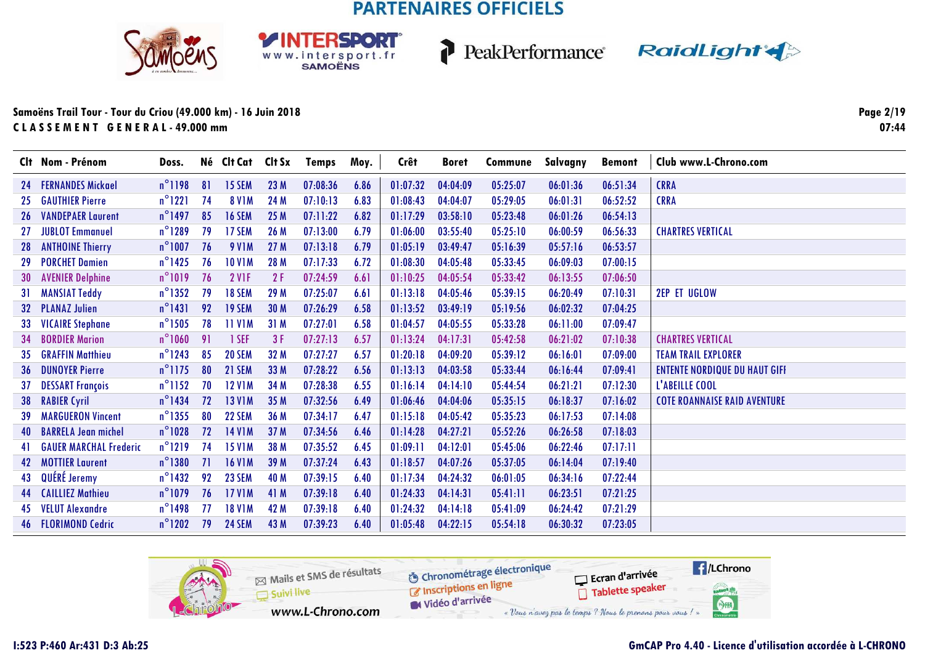**RSDORT** 

WWW.intersport.fr



P



#### **Samoëns Trail Tour - Tour du Criou (49.000 km) - 16 Juin 2018C L A S S E M E N T G E N E R A L - 49.000 mm**

**Page 2/1907:44**

|                 | Clt Nom - Prénom              | Doss.            |     | Né Clt Cat Clt Sx |      | Temps    | Moy. | Crêt     | <b>Boret</b> | <b>Commune</b> | Salvagny | <b>Bemont</b> | Club www.L-Chrono.com                |
|-----------------|-------------------------------|------------------|-----|-------------------|------|----------|------|----------|--------------|----------------|----------|---------------|--------------------------------------|
|                 | <b>24 FERNANDES Mickael</b>   | $n^{\circ}1198$  | 81  | <b>15 SEM</b>     | 23 M | 07:08:36 | 6.86 | 01:07:32 | 04:04:09     | 05:25:07       | 06:01:36 | 06:51:34      | <b>CRRA</b>                          |
| 25              | <b>GAUTHIER Pierre</b>        | $n^{\circ}$ 1221 | 74  | <b>8 V1M</b>      | 24 M | 07:10:13 | 6.83 | 01:08:43 | 04:04:07     | 05:29:05       | 06:01:31 | 06:52:52      | <b>CRRA</b>                          |
| 26              | <b>VANDEPAER Laurent</b>      | $n^{\circ}$ 1497 | 85  | <b>16 SEM</b>     | 25 M | 07:11:22 | 6.82 | 01:17:29 | 03:58:10     | 05:23:48       | 06:01:26 | 06:54:13      |                                      |
| 27              | <b>JUBLOT Emmanuel</b>        | $n^{\circ}$ 1289 | 79  | 17 SEM            | 26 M | 07:13:00 | 6.79 | 01:06:00 | 03:55:40     | 05:25:10       | 06:00:59 | 06:56:33      | <b>CHARTRES VERTICAL</b>             |
| 28              | <b>ANTHOINE Thierry</b>       | $n^{\circ}1007$  | 76  | <b>9 V1M</b>      | 27 M | 07:13:18 | 6.79 | 01:05:19 | 03:49:47     | 05:16:39       | 05:57:16 | 06:53:57      |                                      |
| 29              | <b>PORCHET Damien</b>         | $n^{\circ}$ 1425 | 76  | <b>10 V1M</b>     | 28 M | 07:17:33 | 6.72 | 01:08:30 | 04:05:48     | 05:33:45       | 06:09:03 | 07:00:15      |                                      |
| 30 <sup>°</sup> | <b>AVENIER Delphine</b>       | $n^{\circ}1019$  | 76  | <b>2 V1F</b>      | 2F   | 07:24:59 | 6.61 | 01:10:25 | 04:05:54     | 05:33:42       | 06:13:55 | 07:06:50      |                                      |
| 31              | <b>MANSIAT Teddy</b>          | $n^{\circ}$ 1352 | 79  | 18 SEM            | 29 M | 07:25:07 | 6.61 | 01:13:18 | 04:05:46     | 05:39:15       | 06:20:49 | 07:10:31      | <b>2EP ET UGLOW</b>                  |
|                 | 32 PLANAZ Julien              | $n^{\circ}$ 1431 | 92  | 19 SEM            | 30 M | 07:26:29 | 6.58 | 01:13:52 | 03:49:19     | 05:19:56       | 06:02:32 | 07:04:25      |                                      |
| 33              | <b>VICAIRE Stephane</b>       | $n^{\circ}$ 1505 | 78  | <b>11 V1M</b>     | 31M  | 07:27:01 | 6.58 | 01:04:57 | 04:05:55     | 05:33:28       | 06:11:00 | 07:09:47      |                                      |
| 34              | <b>BORDIER Marion</b>         | $n^{\circ}1060$  | 91  | 1 SEF             | 3F   | 07:27:13 | 6.57 | 01:13:24 | 04:17:31     | 05:42:58       | 06:21:02 | 07:10:38      | <b>CHARTRES VERTICAL</b>             |
| 35              | <b>GRAFFIN Matthieu</b>       | $n^{\circ}$ 1243 | 85  | <b>20 SEM</b>     | 32 M | 07:27:27 | 6.57 | 01:20:18 | 04:09:20     | 05:39:12       | 06:16:01 | 07:09:00      | <b>TEAM TRAIL EXPLORER</b>           |
| 36              | <b>DUNOYER Pierre</b>         | $n^{\circ}$ 1175 | 80  | <b>21 SEM</b>     | 33 M | 07:28:22 | 6.56 | 01:13:13 | 04:03:58     | 05:33:44       | 06:16:44 | 07:09:41      | <b>ENTENTE NORDIQUE DU HAUT GIFI</b> |
| 37              | <b>DESSART François</b>       | $n^{\circ}$ 1152 | 70  | <b>12 V1M</b>     | 34 M | 07:28:38 | 6.55 | 01:16:14 | 04:14:10     | 05:44:54       | 06:21:21 | 07:12:30      | L'ABEILLE COOL                       |
|                 | 38 RABIER Cyril               | $n^{\circ}$ 1434 | 72  | <b>13 V1M</b>     | 35 M | 07:32:56 | 6.49 | 01:06:46 | 04:04:06     | 05:35:15       | 06:18:37 | 07:16:02      | <b>COTE ROANNAISE RAID AVENTURE</b>  |
| 39              | <b>MARGUERON Vincent</b>      | $n^{\circ}$ 1355 | 80  | 22 SEM            | 36 M | 07:34:17 | 6.47 | 01:15:18 | 04:05:42     | 05:35:23       | 06:17:53 | 07:14:08      |                                      |
| <b>40</b>       | <b>BARRELA Jean michel</b>    | $n^{\circ}$ 1028 | 72  | <b>14 V1M</b>     | 37 M | 07:34:56 | 6.46 | 01:14:28 | 04:27:21     | 05:52:26       | 06:26:58 | 07:18:03      |                                      |
|                 | <b>GAUER MARCHAL Frederic</b> | $n^{\circ}1219$  | 74  | <b>15 V1M</b>     | 38 M | 07:35:52 | 6.45 | 01:09:11 | 04:12:01     | 05:45:06       | 06:22:46 | 07:17:11      |                                      |
|                 | 42 MOTTIER Laurent            | $n^{\circ}$ 1380 | 71  | <b>16 V1M</b>     | 39 M | 07:37:24 | 6.43 | 01:18:57 | 04:07:26     | 05:37:05       | 06:14:04 | 07:19:40      |                                      |
| 43              | QUÉRÉ Jeremy                  | $n^{\circ}$ 1432 | 92  | <b>23 SEM</b>     | 40 M | 07:39:15 | 6.40 | 01:17:34 | 04:24:32     | 06:01:05       | 06:34:16 | 07:22:44      |                                      |
|                 | 44 CAILLIEZ Mathieu           | $n^{\circ}$ 1079 | 76  | <b>17 V1M</b>     | 41 M | 07:39:18 | 6.40 | 01:24:33 | 04:14:31     | 05:41:11       | 06:23:51 | 07:21:25      |                                      |
|                 | 45 VELUT Alexandre            | $n^{\circ}$ 1498 | -77 | <b>18 V1M</b>     | 42 M | 07:39:18 | 6.40 | 01:24:32 | 04:14:18     | 05:41:09       | 06:24:42 | 07:21:29      |                                      |
|                 | <b>46 FLORIMOND Cedric</b>    | $n^{\circ}$ 1202 | 79  | <b>24 SEM</b>     | 43 M | 07:39:23 | 6.40 | 01:05:48 | 04:22:15     | 05:54:18       | 06:30:32 | 07:23:05      |                                      |

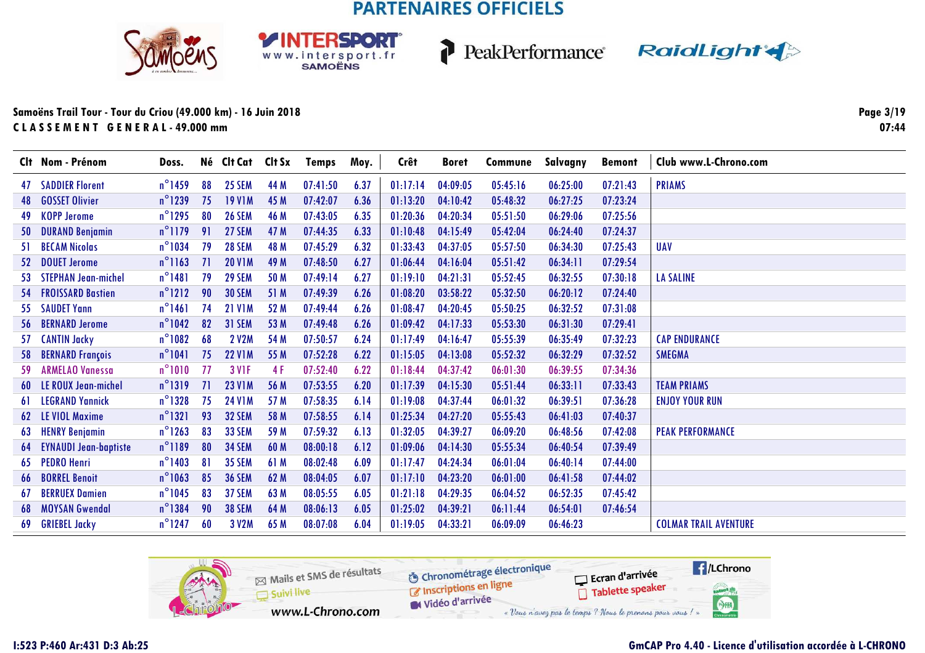**RSDORT** 

WWW.intersport.fr



P



#### **Samoëns Trail Tour - Tour du Criou (49.000 km) - 16 Juin 2018C L A S S E M E N T G E N E R A L - 49.000 mm**

**Page 3/1907:44**

|      | Clt Nom - Prénom             | Doss.            |    | Né Clt Cat Clt Sx |      | Temps    | Moy. | Crêt     | <b>Boret</b> | Commune  | Salvagny | <b>Bemont</b> | Club www.L-Chrono.com        |
|------|------------------------------|------------------|----|-------------------|------|----------|------|----------|--------------|----------|----------|---------------|------------------------------|
|      | <b>47 SADDIER Florent</b>    | $n^{\circ}$ 1459 | 88 | <b>25 SEM</b>     | 44 M | 07:41:50 | 6.37 | 01:17:14 | 04:09:05     | 05:45:16 | 06:25:00 | 07:21:43      | <b>PRIAMS</b>                |
| 48.  | <b>GOSSET Olivier</b>        | $n^{\circ}$ 1239 | 75 | <b>19 V1M</b>     | 45 M | 07:42:07 | 6.36 | 01:13:20 | 04:10:42     | 05:48:32 | 06:27:25 | 07:23:24      |                              |
| 49   | <b>KOPP Jerome</b>           | $n^{\circ}$ 1295 | 80 | <b>26 SEM</b>     | 46 M | 07:43:05 | 6.35 | 01:20:36 | 04:20:34     | 05:51:50 | 06:29:06 | 07:25:56      |                              |
| 50 - | <b>DURAND Benjamin</b>       | $n^{\circ}$ 1179 | 91 | <b>27 SEM</b>     | 47 M | 07:44:35 | 6.33 | 01:10:48 | 04:15:49     | 05:42:04 | 06:24:40 | 07:24:37      |                              |
| 51.  | <b>BECAM Nicolas</b>         | $n^{\circ}$ 1034 | 79 | <b>28 SEM</b>     | 48 M | 07:45:29 | 6.32 | 01:33:43 | 04:37:05     | 05:57:50 | 06:34:30 | 07:25:43      | <b>UAV</b>                   |
| 52.  | <b>DOUET Jerome</b>          | $n^{\circ}$ 1163 | 71 | <b>20 V1M</b>     | 49 M | 07:48:50 | 6.27 | 01:06:44 | 04:16:04     | 05:51:42 | 06:34:11 | 07:29:54      |                              |
| 53   | <b>STEPHAN Jean-michel</b>   | $n^{\circ}$ 1481 | 79 | 29 SEM            | 50 M | 07:49:14 | 6.27 | 01:19:10 | 04:21:31     | 05:52:45 | 06:32:55 | 07:30:18      | <b>LA SALINE</b>             |
|      | 54 FROISSARD Bastien         | $n^{\circ}1212$  | 90 | <b>30 SEM</b>     | 51 M | 07:49:39 | 6.26 | 01:08:20 | 03:58:22     | 05:32:50 | 06:20:12 | 07:24:40      |                              |
| 55   | <b>SAUDET Yann</b>           | $n^{\circ}$ 1461 | 74 | <b>21 V1M</b>     | 52 M | 07:49:44 | 6.26 | 01:08:47 | 04:20:45     | 05:50:25 | 06:32:52 | 07:31:08      |                              |
| 56   | <b>BERNARD Jerome</b>        | $n^{\circ}$ 1042 | 82 | <b>31 SEM</b>     | 53 M | 07:49:48 | 6.26 | 01:09:42 | 04:17:33     | 05:53:30 | 06:31:30 | 07:29:41      |                              |
| 57   | <b>CANTIN Jacky</b>          | $n^{\circ}$ 1082 | 68 | <b>2 V2M</b>      | 54 M | 07:50:57 | 6.24 | 01:17:49 | 04:16:47     | 05:55:39 | 06:35:49 | 07:32:23      | <b>CAP ENDURANCE</b>         |
| 58.  | <b>BERNARD François</b>      | $n^{\circ}1041$  | 75 | <b>22 V1M</b>     | 55 M | 07:52:28 | 6.22 | 01:15:05 | 04:13:08     | 05:52:32 | 06:32:29 | 07:32:52      | <b>SMEGMA</b>                |
| 59.  | <b>ARMELAO Vanessa</b>       | $n^{\circ}1010$  | 77 | <b>3 V1F</b>      | 4F   | 07:52:40 | 6.22 | 01:18:44 | 04:37:42     | 06:01:30 | 06:39:55 | 07:34:36      |                              |
|      | 60 LE ROUX Jean-michel       | $n^{\circ}$ 1319 | 71 | <b>23 V1M</b>     | 56 M | 07:53:55 | 6.20 | 01:17:39 | 04:15:30     | 05:51:44 | 06:33:11 | 07:33:43      | <b>TEAM PRIAMS</b>           |
|      | <b>LEGRAND Yannick</b>       | $n^{\circ}$ 1328 | 75 | <b>24 V1M</b>     | 57 M | 07:58:35 | 6.14 | 01:19:08 | 04:37:44     | 06:01:32 | 06:39:51 | 07:36:28      | <b>ENJOY YOUR RUN</b>        |
|      | 62 LE VIOL Maxime            | $n^{\circ}$ 1321 | 93 | <b>32 SEM</b>     | 58 M | 07:58:55 | 6.14 | 01:25:34 | 04:27:20     | 05:55:43 | 06:41:03 | 07:40:37      |                              |
| 63   | <b>HENRY Benjamin</b>        | $n^{\circ}$ 1263 | 83 | 33 SEM            | 59 M | 07:59:32 | 6.13 | 01:32:05 | 04:39:27     | 06:09:20 | 06:48:56 | 07:42:08      | <b>PEAK PERFORMANCE</b>      |
| 64   | <b>EYNAUDI Jean-baptiste</b> | $n^{\circ}1189$  | 80 | <b>34 SEM</b>     | 60 M | 08:00:18 | 6.12 | 01:09:06 | 04:14:30     | 05:55:34 | 06:40:54 | 07:39:49      |                              |
| 65   | <b>PEDRO Henri</b>           | $n^{\circ}$ 1403 | 81 | <b>35 SEM</b>     | 61 M | 08:02:48 | 6.09 | 01:17:47 | 04:24:34     | 06:01:04 | 06:40:14 | 07:44:00      |                              |
| 66   | <b>BORREL Benoit</b>         | $n^{\circ}$ 1063 | 85 | <b>36 SEM</b>     | 62 M | 08:04:05 | 6.07 | 01:17:10 | 04:23:20     | 06:01:00 | 06:41:58 | 07:44:02      |                              |
| 67   | <b>BERRUEX Damien</b>        | $n^{\circ}$ 1045 | 83 | 37 SEM            | 63 M | 08:05:55 | 6.05 | 01:21:18 | 04:29:35     | 06:04:52 | 06:52:35 | 07:45:42      |                              |
| 68   | <b>MOYSAN Gwendal</b>        | $n^{\circ}$ 1384 | 90 | <b>38 SEM</b>     | 64 M | 08:06:13 | 6.05 | 01:25:02 | 04:39:21     | 06:11:44 | 06:54:01 | 07:46:54      |                              |
| 69   | <b>GRIEBEL Jacky</b>         | $n^{\circ}$ 1247 | 60 | 3 V2M             | 65 M | 08:07:08 | 6.04 | 01:19:05 | 04:33:21     | 06:09:09 | 06:46:23 |               | <b>COLMAR TRAIL AVENTURE</b> |

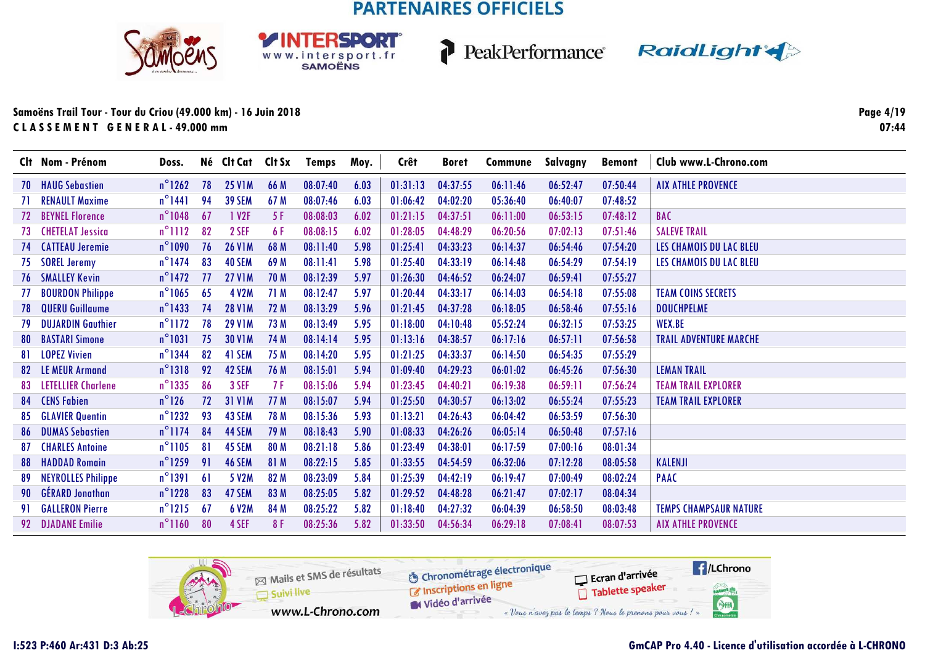**RSDORT** 

WWW.intersport.fr



P



#### **Samoëns Trail Tour - Tour du Criou (49.000 km) - 16 Juin 2018C L A S S E M E N T G E N E R A L - 49.000 mm**

**Page 4/1907:44**

|     | Clt Nom - Prénom          | Doss.            |     | Né Clt Cat Clt Sx |      | Temps    | Moy. | Crêt     | <b>Boret</b> | Commune  | Salvagny | <b>Bemont</b> | Club www.L-Chrono.com          |
|-----|---------------------------|------------------|-----|-------------------|------|----------|------|----------|--------------|----------|----------|---------------|--------------------------------|
|     | 70 HAUG Sebastien         | $n^{\circ}$ 1262 | 78  | <b>25 V1M</b>     | 66 M | 08:07:40 | 6.03 | 01:31:13 | 04:37:55     | 06:11:46 | 06:52:47 | 07:50:44      | <b>AIX ATHLE PROVENCE</b>      |
| 71  | <b>RENAULT Maxime</b>     | $n^{\circ}$ 1441 | 94  | <b>39 SEM</b>     | 67 M | 08:07:46 | 6.03 | 01:06:42 | 04:02:20     | 05:36:40 | 06:40:07 | 07:48:52      |                                |
| 72  | <b>BEYNEL Florence</b>    | $n^{\circ}$ 1048 | 67  | 1 V2F             | 5 F  | 08:08:03 | 6.02 | 01:21:15 | 04:37:51     | 06:11:00 | 06:53:15 | 07:48:12      | <b>BAC</b>                     |
| 73  | <b>CHETELAT Jessica</b>   | $n^{\circ}$ 1112 | 82  | 2 SEF             | 6 F  | 08:08:15 | 6.02 | 01:28:05 | 04:48:29     | 06:20:56 | 07:02:13 | 07:51:46      | <b>SALEVE TRAIL</b>            |
| 74  | <b>CATTEAU Jeremie</b>    | $n^{\circ}1090$  | 76  | <b>26 V1M</b>     | 68 M | 08:11:40 | 5.98 | 01:25:41 | 04:33:23     | 06:14:37 | 06:54:46 | 07:54:20      | <b>LES CHAMOIS DU LAC BLEU</b> |
| 75  | <b>SOREL Jeremy</b>       | $n^{\circ}$ 1474 | 83  | 40 SEM            | 69 M | 08:11:41 | 5.98 | 01:25:40 | 04:33:19     | 06:14:48 | 06:54:29 | 07:54:19      | <b>LES CHAMOIS DU LAC BLEU</b> |
| 76  | <b>SMALLEY Kevin</b>      | $n^{\circ}$ 1472 | -77 | <b>27 V1M</b>     | 70 M | 08:12:39 | 5.97 | 01:26:30 | 04:46:52     | 06:24:07 | 06:59:41 | 07:55:27      |                                |
| 77  | <b>BOURDON Philippe</b>   | $n^{\circ}$ 1065 | 65  | 4 V2M             | 71 M | 08:12:47 | 5.97 | 01:20:44 | 04:33:17     | 06:14:03 | 06:54:18 | 07:55:08      | <b>TEAM COINS SECRETS</b>      |
| 78  | <b>QUERU Guillaume</b>    | $n^{\circ}$ 1433 | 74  | <b>28 V1M</b>     | 72 M | 08:13:29 | 5.96 | 01:21:45 | 04:37:28     | 06:18:05 | 06:58:46 | 07:55:16      | <b>DOUCHPELME</b>              |
| 79  | <b>DUJARDIN Gauthier</b>  | $n^{\circ}$ 1172 | 78  | <b>29 V1M</b>     | 73 M | 08:13:49 | 5.95 | 01:18:00 | 04:10:48     | 05:52:24 | 06:32:15 | 07:53:25      | <b>WEX.BE</b>                  |
|     | <b>80 BASTARI Simone</b>  | $n^{\circ}1031$  | 75  | <b>30 V1M</b>     | 74 M | 08:14:14 | 5.95 | 01:13:16 | 04:38:57     | 06:17:16 | 06:57:11 | 07:56:58      | <b>TRAIL ADVENTURE MARCHE</b>  |
| 81. | <b>LOPEZ Vivien</b>       | $n^{\circ}$ 1344 | 82  | 41 SEM            | 75 M | 08:14:20 | 5.95 | 01:21:25 | 04:33:37     | 06:14:50 | 06:54:35 | 07:55:29      |                                |
|     | 82 LE MEUR Armand         | $n^{\circ}1318$  | 92  | 42 SEM            | 76 M | 08:15:01 | 5.94 | 01:09:40 | 04:29:23     | 06:01:02 | 06:45:26 | 07:56:30      | <b>LEMAN TRAIL</b>             |
| 83  | <b>LETELLIER Charlene</b> | $n^{\circ}$ 1335 | 86  | 3 SEF             | 7 F  | 08:15:06 | 5.94 | 01:23:45 | 04:40:21     | 06:19:38 | 06:59:11 | 07:56:24      | <b>TEAM TRAIL EXPLORER</b>     |
| 84  | <b>CENS Fabien</b>        | $n^{\circ}$ 126  | 72  | <b>31 V1M</b>     | 77 M | 08:15:07 | 5.94 | 01:25:50 | 04:30:57     | 06:13:02 | 06:55:24 | 07:55:23      | <b>TEAM TRAIL EXPLORER</b>     |
| 85  | <b>GLAVIER Quentin</b>    | $n^{\circ}$ 1232 | 93  | 43 SEM            | 78 M | 08:15:36 | 5.93 | 01:13:21 | 04:26:43     | 06:04:42 | 06:53:59 | 07:56:30      |                                |
| 86  | <b>DUMAS Sebastien</b>    | $n^{\circ}$ 1174 | 84  | 44 SEM            | 79 M | 08:18:43 | 5.90 | 01:08:33 | 04:26:26     | 06:05:14 | 06:50:48 | 07:57:16      |                                |
| 87  | <b>CHARLES Antoine</b>    | $n^{\circ}$ 1105 | 81  | 45 SEM            | 80 M | 08:21:18 | 5.86 | 01:23:49 | 04:38:01     | 06:17:59 | 07:00:16 | 08:01:34      |                                |
|     | <b>88 HADDAD Romain</b>   | $n^{\circ}$ 1259 | 91  | 46 SEM            | 81 M | 08:22:15 | 5.85 | 01:33:55 | 04:54:59     | 06:32:06 | 07:12:28 | 08:05:58      | <b>KALENJI</b>                 |
|     | 89 NEYROLLES Philippe     | $n^{\circ}$ 1391 | 61  | 5 V2M             | 82 M | 08:23:09 | 5.84 | 01:25:39 | 04:42:19     | 06:19:47 | 07:00:49 | 08:02:24      | <b>PAAC</b>                    |
| 90  | <b>GÉRARD Jonathan</b>    | $n^{\circ}$ 1228 | 83  | 47 SEM            | 83 M | 08:25:05 | 5.82 | 01:29:52 | 04:48:28     | 06:21:47 | 07:02:17 | 08:04:34      |                                |
|     | <b>GALLERON Pierre</b>    | $n^{\circ}$ 1215 | 67  | 6 V2M             | 84 M | 08:25:22 | 5.82 | 01:18:40 | 04:27:32     | 06:04:39 | 06:58:50 | 08:03:48      | <b>TEMPS CHAMPSAUR NATURE</b>  |
|     | 92 DJADANE Emilie         | $n^{\circ}$ 1160 | 80  | 4 SEF             | 8 F  | 08:25:36 | 5.82 | 01:33:50 | 04:56:34     | 06:29:18 | 07:08:41 | 08:07:53      | <b>AIX ATHLE PROVENCE</b>      |

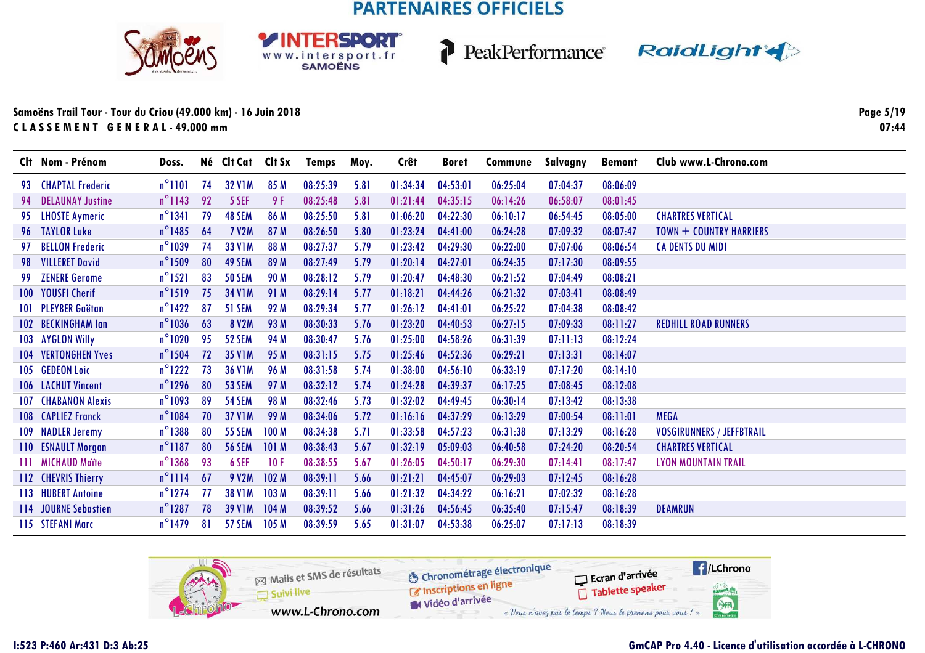**RSDORT** 

WWW.intersport.fr



P



#### **Samoëns Trail Tour - Tour du Criou (49.000 km) - 16 Juin 2018C L A S S E M E N T G E N E R A L - 49.000 mm**

**Page 5/1907:44**

|                  | Clt Nom - Prénom           | Doss.            |    | Né Clt Cat Clt Sx |                  | Temps    | Moy. | Crêt     | <b>Boret</b> | <b>Commune</b> | Salvagny | <b>Bemont</b> | Club www.L-Chrono.com            |
|------------------|----------------------------|------------------|----|-------------------|------------------|----------|------|----------|--------------|----------------|----------|---------------|----------------------------------|
| 93.              | <b>CHAPTAL Frederic</b>    | $n^{\circ}1101$  | 74 | <b>32 V1M</b>     | 85 M             | 08:25:39 | 5.81 | 01:34:34 | 04:53:01     | 06:25:04       | 07:04:37 | 08:06:09      |                                  |
| 94               | <b>DELAUNAY Justine</b>    | $n^{\circ}$ 1143 | 92 | 5 SEF             | 9 F              | 08:25:48 | 5.81 | 01:21:44 | 04:35:15     | 06:14:26       | 06:58:07 | 08:01:45      |                                  |
| 95               | <b>LHOSTE Aymeric</b>      | $n^{\circ}$ 1341 | 79 | 48 SEM            | 86 M             | 08:25:50 | 5.81 | 01:06:20 | 04:22:30     | 06:10:17       | 06:54:45 | 08:05:00      | <b>CHARTRES VERTICAL</b>         |
|                  | 96 TAYLOR Luke             | $n^{\circ}$ 1485 | 64 | <b>7 V2M</b>      | 87 M             | 08:26:50 | 5.80 | 01:23:24 | 04:41:00     | 06:24:28       | 07:09:32 | 08:07:47      | <b>TOWN + COUNTRY HARRIERS</b>   |
| 97               | <b>BELLON Frederic</b>     | $n^{\circ}1039$  | 74 | <b>33 V1M</b>     | 88 M             | 08:27:37 | 5.79 | 01:23:42 | 04:29:30     | 06:22:00       | 07:07:06 | 08:06:54      | <b>CA DENTS DU MIDI</b>          |
| 98               | <b>VILLERET David</b>      | $n^{\circ}$ 1509 | 80 | 49 SEM            | 89 M             | 08:27:49 | 5.79 | 01:20:14 | 04:27:01     | 06:24:35       | 07:17:30 | 08:09:55      |                                  |
|                  | <b>ZENERE Gerome</b>       | $n^{\circ}$ 1521 | 83 | <b>50 SEM</b>     | <b>90 M</b>      | 08:28:12 | 5.79 | 01:20:47 | 04:48:30     | 06:21:52       | 07:04:49 | 08:08:21      |                                  |
| 100 <sub>1</sub> | <b>YOUSFI Cherif</b>       | $n^{\circ}$ 1519 | 75 | <b>34 V1M</b>     | 91 M             | 08:29:14 | 5.77 | 01:18:21 | 04:44:26     | 06:21:32       | 07:03:41 | 08:08:49      |                                  |
| 101              | <b>PLEYBER Gaëtan</b>      | $n^{\circ}$ 1422 | 87 | 51 SEM            | 92 M             | 08:29:34 | 5.77 | 01:26:12 | 04:41:01     | 06:25:22       | 07:04:38 | 08:08:42      |                                  |
|                  | 102 BECKINGHAM lan         | $n^{\circ}$ 1036 | 63 | 8 V2M             | 93 M             | 08:30:33 | 5.76 | 01:23:20 | 04:40:53     | 06:27:15       | 07:09:33 | 08:11:27      | <b>REDHILL ROAD RUNNERS</b>      |
|                  | 103 AYGLON Willy           | $n^{\circ}1020$  | 95 | <b>52 SEM</b>     | 94 M             | 08:30:47 | 5.76 | 01:25:00 | 04:58:26     | 06:31:39       | 07:11:13 | 08:12:24      |                                  |
|                  | <b>104 VERTONGHEN Yves</b> | $n^{\circ}$ 1504 | 72 | <b>35 V1M</b>     | 95 M             | 08:31:15 | 5.75 | 01:25:46 | 04:52:36     | 06:29:21       | 07:13:31 | 08:14:07      |                                  |
| 105              | <b>GEDEON Loic</b>         | $n^{\circ}$ 1222 | 73 | <b>36 V1M</b>     | 96 M             | 08:31:58 | 5.74 | 01:38:00 | 04:56:10     | 06:33:19       | 07:17:20 | 08:14:10      |                                  |
|                  | <b>106 LACHUT Vincent</b>  | $n^{\circ}$ 1296 | 80 | <b>53 SEM</b>     | 97 M             | 08:32:12 | 5.74 | 01:24:28 | 04:39:37     | 06:17:25       | 07:08:45 | 08:12:08      |                                  |
| 107              | <b>CHABANON Alexis</b>     | $n^{\circ}$ 1093 | 89 | <b>54 SEM</b>     | <b>98 M</b>      | 08:32:46 | 5.73 | 01:32:02 | 04:49:45     | 06:30:14       | 07:13:42 | 08:13:38      |                                  |
| 108 <sup>1</sup> | <b>CAPLIEZ Franck</b>      | $n^{\circ}1084$  | 70 | <b>37 V1M</b>     | 99 M             | 08:34:06 | 5.72 | 01:16:16 | 04:37:29     | 06:13:29       | 07:00:54 | 08:11:01      | <b>MEGA</b>                      |
| 109              | <b>NADLER Jeremy</b>       | $n^{\circ}$ 1388 | 80 | <b>55 SEM</b>     | 100 <sub>M</sub> | 08:34:38 | 5.71 | 01:33:58 | 04:57:23     | 06:31:38       | 07:13:29 | 08:16:28      | <b>VOSGIRUNNERS / JEFFBTRAIL</b> |
|                  | 110 ESNAULT Morgan         | $n^{\circ}1187$  | 80 | <b>56 SEM</b>     | 101M             | 08:38:43 | 5.67 | 01:32:19 | 05:09:03     | 06:40:58       | 07:24:20 | 08:20:54      | <b>CHARTRES VERTICAL</b>         |
|                  | 111 MICHAUD Maïte          | $n^{\circ}$ 1368 | 93 | 6 SEF             | 10F              | 08:38:55 | 5.67 | 01:26:05 | 04:50:17     | 06:29:30       | 07:14:41 | 08:17:47      | <b>LYON MOUNTAIN TRAIL</b>       |
|                  | 112 CHEVRIS Thierry        | $n^{\circ}$ 1114 | 67 | <b>9 V2M</b>      | 102 M            | 08:39:11 | 5.66 | 01:21:21 | 04:45:07     | 06:29:03       | 07:12:45 | 08:16:28      |                                  |
|                  | 113 HUBERT Antoine         | $n^{\circ}$ 1274 | 77 | <b>38 V1M</b>     | 103 M            | 08:39:11 | 5.66 | 01:21:32 | 04:34:22     | 06:16:21       | 07:02:32 | 08:16:28      |                                  |
|                  | 114 JOURNE Sebastien       | $n^{\circ}$ 1287 | 78 | <b>39 V1M</b>     | 104 M            | 08:39:52 | 5.66 | 01:31:26 | 04:56:45     | 06:35:40       | 07:15:47 | 08:18:39      | <b>DEAMRUN</b>                   |
|                  | 115 STEFANI Marc           | $n^{\circ}$ 1479 | 81 | 57 SEM            | 105 <sub>M</sub> | 08:39:59 | 5.65 | 01:31:07 | 04:53:38     | 06:25:07       | 07:17:13 | 08:18:39      |                                  |

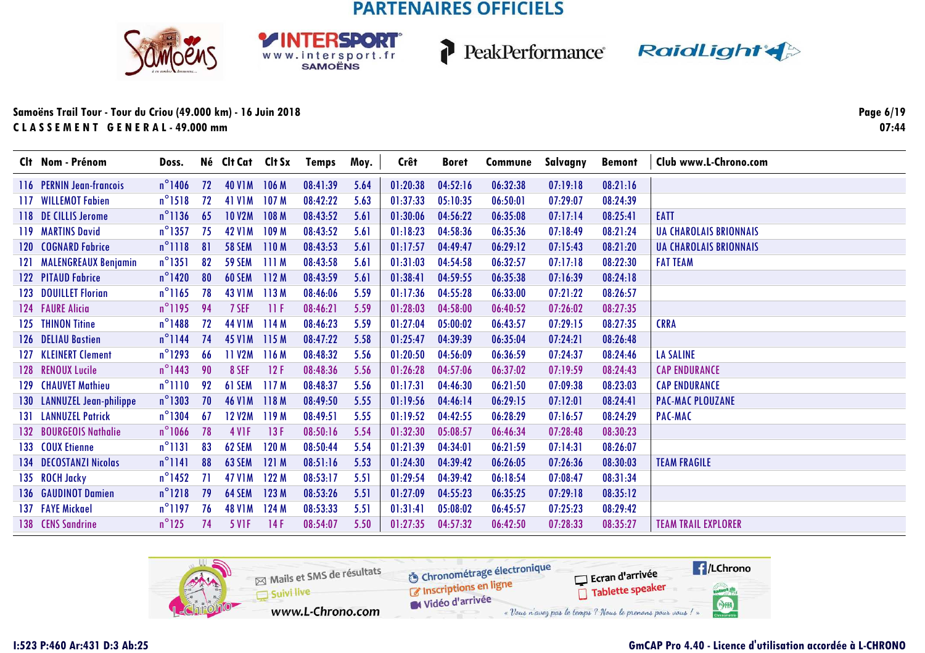**RSDORT** 

WWW.intersport.fr



P



#### **Samoëns Trail Tour - Tour du Criou (49.000 km) - 16 Juin 2018C L A S S E M E N T G E N E R A L - 49.000 mm**

**Page 6/1907:44**

| Clt Nom - Prénom              | Doss.            |     | Né Clt Cat Clt Sx |                  | Temps    | Moy. | Crêt     | <b>Boret</b> | <b>Commune</b> | Salvagny | <b>Bemont</b> | Club www.L-Chrono.com         |
|-------------------------------|------------------|-----|-------------------|------------------|----------|------|----------|--------------|----------------|----------|---------------|-------------------------------|
| 116 PERNIN Jean-francois      | $n^{\circ}$ 1406 | 72  | 40 V1M 106 M      |                  | 08:41:39 | 5.64 | 01:20:38 | 04:52:16     | 06:32:38       | 07:19:18 | 08:21:16      |                               |
| 117 WILLEMOT Fabien           | $n^{\circ}$ 1518 | 72  | <b>41 V1M</b>     | 107 M            | 08:42:22 | 5.63 | 01:37:33 | 05:10:35     | 06:50:01       | 07:29:07 | 08:24:39      |                               |
| 118 DE CILLIS Jerome          | $n^{\circ}$ 1136 | 65  | <b>10 V2M</b>     | 108 <sub>M</sub> | 08:43:52 | 5.61 | 01:30:06 | 04:56:22     | 06:35:08       | 07:17:14 | 08:25:41      | <b>EATT</b>                   |
| 119 MARTINS David             | $n^{\circ}$ 1357 | 75  | <b>42 V1M</b>     | 109 <sub>M</sub> | 08:43:52 | 5.61 | 01:18:23 | 04:58:36     | 06:35:36       | 07:18:49 | 08:21:24      | <b>UA CHAROLAIS BRIONNAIS</b> |
| 120 COGNARD Fabrice           | $n^{\circ}$ 1118 | 81  | <b>58 SEM</b>     | 110 <sub>M</sub> | 08:43:53 | 5.61 | 01:17:57 | 04:49:47     | 06:29:12       | 07:15:43 | 08:21:20      | <b>UA CHAROLAIS BRIONNAIS</b> |
| 121 MALENGREAUX Benjamin      | $n^{\circ}$ 1351 | 82  | <b>59 SEM</b>     | 111 M            | 08:43:58 | 5.61 | 01:31:03 | 04:54:58     | 06:32:57       | 07:17:18 | 08:22:30      | <b>FAT TEAM</b>               |
| 122 PITAUD Fabrice            | $n^{\circ}$ 1420 | 80  | <b>60 SEM</b>     | 112M             | 08:43:59 | 5.61 | 01:38:41 | 04:59:55     | 06:35:38       | 07:16:39 | 08:24:18      |                               |
| <b>123 DOUILLET Florian</b>   | $n^{\circ}$ 1165 | 78  | <b>43 V1M</b>     | 113M             | 08:46:06 | 5.59 | 01:17:36 | 04:55:28     | 06:33:00       | 07:21:22 | 08:26:57      |                               |
| 124 FAURE Alicia              | $n^{\circ}$ 1195 | 94  | 7 SEF             | 11F              | 08:46:21 | 5.59 | 01:28:03 | 04:58:00     | 06:40:52       | 07:26:02 | 08:27:35      |                               |
| 125 THINON Titine             | $n^{\circ}$ 1488 | 72  | 44 V1M            | 114M             | 08:46:23 | 5.59 | 01:27:04 | 05:00:02     | 06:43:57       | 07:29:15 | 08:27:35      | <b>CRRA</b>                   |
| 126 DELIAU Bastien            | $n^{\circ}$ 1144 | 74  | <b>45 V1M</b>     | 115M             | 08:47:22 | 5.58 | 01:25:47 | 04:39:39     | 06:35:04       | 07:24:21 | 08:26:48      |                               |
| 127 KLEINERT Clement          | $n^{\circ}$ 1293 | 66  | 11 V2M            | 116M             | 08:48:32 | 5.56 | 01:20:50 | 04:56:09     | 06:36:59       | 07:24:37 | 08:24:46      | <b>LA SALINE</b>              |
| 128 RENOUX Lucile             | $n^{\circ}$ 1443 | 90  | 8 SEF             | 12F              | 08:48:36 | 5.56 | 01:26:28 | 04:57:06     | 06:37:02       | 07:19:59 | 08:24:43      | <b>CAP ENDURANCE</b>          |
| 129 CHAUVET Mathieu           | $n^{\circ}$ 1110 | 92  | 61 SEM            | 117M             | 08:48:37 | 5.56 | 01:17:31 | 04:46:30     | 06:21:50       | 07:09:38 | 08:23:03      | <b>CAP ENDURANCE</b>          |
| 130 LANNUZEL Jean-philippe    | $n^{\circ}$ 1303 | 70  | <b>46 V1M</b>     | 118M             | 08:49:50 | 5.55 | 01:19:56 | 04:46:14     | 06:29:15       | 07:12:01 | 08:24:41      | <b>PAC-MAC PLOUZANE</b>       |
| <b>131 LANNUZEL Patrick</b>   | $n^{\circ}$ 1304 | -67 | <b>12 V2M</b>     | 119M             | 08:49:51 | 5.55 | 01:19:52 | 04:42:55     | 06:28:29       | 07:16:57 | 08:24:29      | PAC-MAC                       |
| <b>132 BOURGEOIS Nathalie</b> | $n^{\circ}1066$  | 78  | <b>4 V1F</b>      | 13F              | 08:50:16 | 5.54 | 01:32:30 | 05:08:57     | 06:46:34       | 07:28:48 | 08:30:23      |                               |
| 133 COUX Etienne              | $n^{\circ}1131$  | 83  | 62 SEM            | 120 <sub>M</sub> | 08:50:44 | 5.54 | 01:21:39 | 04:34:01     | 06:21:59       | 07:14:31 | 08:26:07      |                               |
| 134 DECOSTANZI Nicolas        | $n^{\circ}1141$  | 88  | 63 SEM            | 121M             | 08:51:16 | 5.53 | 01:24:30 | 04:39:42     | 06:26:05       | 07:26:36 | 08:30:03      | <b>TEAM FRAGILE</b>           |
| 135 ROCH Jacky                | $n^{\circ}$ 1452 | -71 | <b>47 V1M</b>     | 122M             | 08:53:17 | 5.51 | 01:29:54 | 04:39:42     | 06:18:54       | 07:08:47 | 08:31:34      |                               |
| <b>136 GAUDINOT Damien</b>    | $n^{\circ}$ 1218 | 79  | 64 SEM            | 123M             | 08:53:26 | 5.51 | 01:27:09 | 04:55:23     | 06:35:25       | 07:29:18 | 08:35:12      |                               |
| 137 FAYE Mickael              | $n^{\circ}$ 1197 | 76  | <b>48 V1M</b>     | 124M             | 08:53:33 | 5.51 | 01:31:41 | 05:08:02     | 06:45:57       | 07:25:23 | 08:29:42      |                               |
| 138 CENS Sandrine             | $n^{\circ}$ 125  | 74  | <b>5 V1F</b>      | 14F              | 08:54:07 | 5.50 | 01:27:35 | 04:57:32     | 06:42:50       | 07:28:33 | 08:35:27      | <b>TEAM TRAIL EXPLORER</b>    |

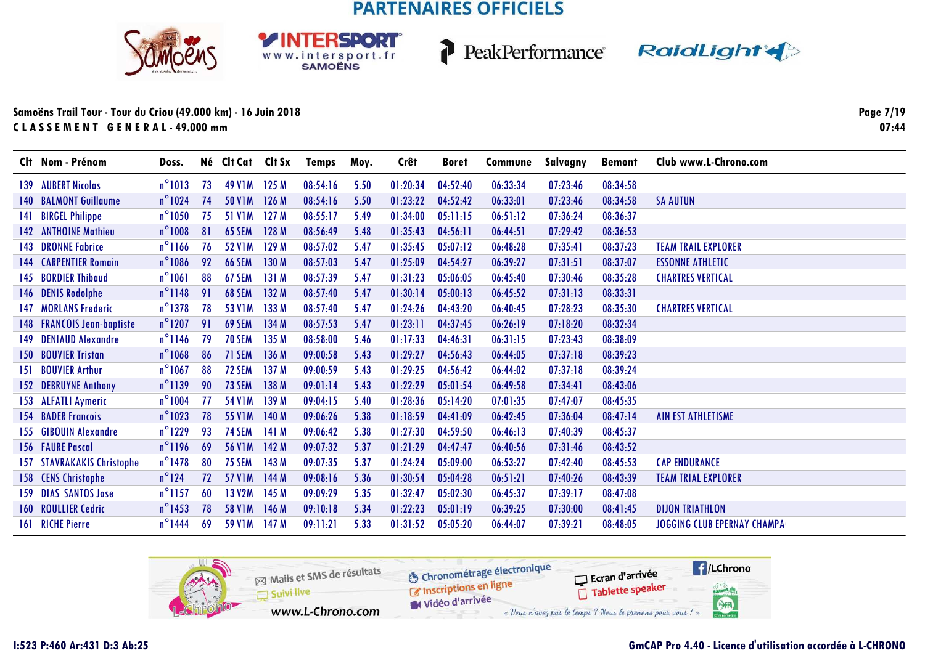**RSDORT** 

WWW.intersport.fr



P



#### **Samoëns Trail Tour - Tour du Criou (49.000 km) - 16 Juin 2018C L A S S E M E N T G E N E R A L - 49.000 mm**

**Page 7/1907:44**

|     | Clt Nom - Prénom                  | Doss.            |    | Né Clt Cat Clt Sx   |                  | Temps    | Moy. | Crêt     | <b>Boret</b> | <b>Commune</b> | Salvagny | <b>Bemont</b> | Club www.L-Chrono.com              |
|-----|-----------------------------------|------------------|----|---------------------|------------------|----------|------|----------|--------------|----------------|----------|---------------|------------------------------------|
|     | 139 AUBERT Nicolas                | $n^{\circ}1013$  | 73 | 49 V1M 125 M        |                  | 08:54:16 | 5.50 | 01:20:34 | 04:52:40     | 06:33:34       | 07:23:46 | 08:34:58      |                                    |
|     | <b>140 BALMONT Guillaume</b>      | $n^{\circ}1024$  | 74 | <b>50 V1M</b>       | 126M             | 08:54:16 | 5.50 | 01:23:22 | 04:52:42     | 06:33:01       | 07:23:46 | 08:34:58      | <b>SA AUTUN</b>                    |
| 141 | <b>BIRGEL Philippe</b>            | $n^{\circ}1050$  | 75 | <b>51 V1M</b>       | 127 <sub>M</sub> | 08:55:17 | 5.49 | 01:34:00 | 05:11:15     | 06:51:12       | 07:36:24 | 08:36:37      |                                    |
|     | <b>142 ANTHOINE Mathieu</b>       | $n^{\circ}1008$  | 81 | <b>65 SEM</b>       | 128 M            | 08:56:49 | 5.48 | 01:35:43 | 04:56:11     | 06:44:51       | 07:29:42 | 08:36:53      |                                    |
| 143 | <b>DRONNE Fabrice</b>             | $n^{\circ}$ 1166 | 76 | 52 V1M              | 129M             | 08:57:02 | 5.47 | 01:35:45 | 05:07:12     | 06:48:28       | 07:35:41 | 08:37:23      | <b>TEAM TRAIL EXPLORER</b>         |
|     | <b>144 CARPENTIER Romain</b>      | $n^{\circ}1086$  | 92 | <b>66 SEM</b>       | 130 M            | 08:57:03 | 5.47 | 01:25:09 | 04:54:27     | 06:39:27       | 07:31:51 | 08:37:07      | <b>ESSONNE ATHLETIC</b>            |
| 145 | <b>BORDIER Thibaud</b>            | $n^{\circ}1061$  | 88 | 67 SEM              | 131M             | 08:57:39 | 5.47 | 01:31:23 | 05:06:05     | 06:45:40       | 07:30:46 | 08:35:28      | <b>CHARTRES VERTICAL</b>           |
|     | 146 DENIS Rodolphe                | $n^{\circ}$ 1148 | 91 | <b>68 SEM</b>       | 132 M            | 08:57:40 | 5.47 | 01:30:14 | 05:00:13     | 06:45:52       | 07:31:13 | 08:33:31      |                                    |
| 147 | <b>MORLANS Frederic</b>           | $n^{\circ}$ 1378 | 78 | <b>53 V1M</b>       | 133M             | 08:57:40 | 5.47 | 01:24:26 | 04:43:20     | 06:40:45       | 07:28:23 | 08:35:30      | <b>CHARTRES VERTICAL</b>           |
|     | 148 FRANCOIS Jean-baptiste        | $n^{\circ}$ 1207 | 91 | <b>69 SEM</b>       | 134 M            | 08:57:53 | 5.47 | 01:23:11 | 04:37:45     | 06:26:19       | 07:18:20 | 08:32:34      |                                    |
| 149 | <b>DENIAUD Alexandre</b>          | $n^{\circ}$ 1146 | 79 | <b>70 SEM</b>       | 135 M            | 08:58:00 | 5.46 | 01:17:33 | 04:46:31     | 06:31:15       | 07:23:43 | 08:38:09      |                                    |
|     | <b>150 BOUVIER Tristan</b>        | $n^{\circ}$ 1068 | 86 | 71 SEM              | 136 M            | 09:00:58 | 5.43 | 01:29:27 | 04:56:43     | 06:44:05       | 07:37:18 | 08:39:23      |                                    |
| 151 | <b>BOUVIER Arthur</b>             | $n^{\circ}1067$  | 88 | <b>72 SEM</b>       | 137 M            | 09:00:59 | 5.43 | 01:29:25 | 04:56:42     | 06:44:02       | 07:37:18 | 08:39:24      |                                    |
|     | <b>152 DEBRUYNE Anthony</b>       | $n^{\circ}$ 1139 | 90 | <b>73 SEM</b>       | 138 M            | 09:01:14 | 5.43 | 01:22:29 | 05:01:54     | 06:49:58       | 07:34:41 | 08:43:06      |                                    |
|     | 153 ALFATLI Aymeric               | $n^{\circ}1004$  | 77 | 54 V1M              | 139 M            | 09:04:15 | 5.40 | 01:28:36 | 05:14:20     | 07:01:35       | 07:47:07 | 08:45:35      |                                    |
|     | <b>154 BADER Francois</b>         | $n^{\circ}$ 1023 | 78 | 55 V <sub>1</sub> M | 140 M            | 09:06:26 | 5.38 | 01:18:59 | 04:41:09     | 06:42:45       | 07:36:04 | 08:47:14      | AIN EST ATHLETISME                 |
|     | 155 GIBOUIN Alexandre             | $n^{\circ}$ 1229 | 93 | <b>74 SEM</b>       | 141M             | 09:06:42 | 5.38 | 01:27:30 | 04:59:50     | 06:46:13       | 07:40:39 | 08:45:37      |                                    |
|     | <b>156 FAURE Pascal</b>           | $n^{\circ}$ 1196 | 69 | <b>56 V1M</b>       | 142M             | 09:07:32 | 5.37 | 01:21:29 | 04:47:47     | 06:40:56       | 07:31:46 | 08:43:52      |                                    |
|     | <b>157 STAVRAKAKIS Christophe</b> | $n^{\circ}$ 1478 | 80 | <b>75 SEM</b>       | 143 M            | 09:07:35 | 5.37 | 01:24:24 | 05:09:00     | 06:53:27       | 07:42:40 | 08:45:53      | <b>CAP ENDURANCE</b>               |
|     | 158 CENS Christophe               | $n^{\circ}$ 124  | 72 | 57 V1M              | 144 M            | 09:08:16 | 5.36 | 01:30:54 | 05:04:28     | 06:51:21       | 07:40:26 | 08:43:39      | <b>TEAM TRIAL EXPLORER</b>         |
|     | 159 DIAS SANTOS Jose              | $n^{\circ}$ 1157 | 60 | <b>13 V2M</b>       | 145 M            | 09:09:29 | 5.35 | 01:32:47 | 05:02:30     | 06:45:37       | 07:39:17 | 08:47:08      |                                    |
|     | <b>160 ROULLIER Cedric</b>        | $n^{\circ}$ 1453 | 78 | <b>58 V1M</b>       | 146 M            | 09:10:18 | 5.34 | 01:22:23 | 05:01:19     | 06:39:25       | 07:30:00 | 08:41:45      | <b>DIJON TRIATHLON</b>             |
|     | 161 RICHE Pierre                  | $n^{\circ}$ 1444 | 69 | <b>59 V1M</b>       | 147 M            | 09:11:21 | 5.33 | 01:31:52 | 05:05:20     | 06:44:07       | 07:39:21 | 08:48:05      | <b>JOGGING CLUB EPERNAY CHAMPA</b> |

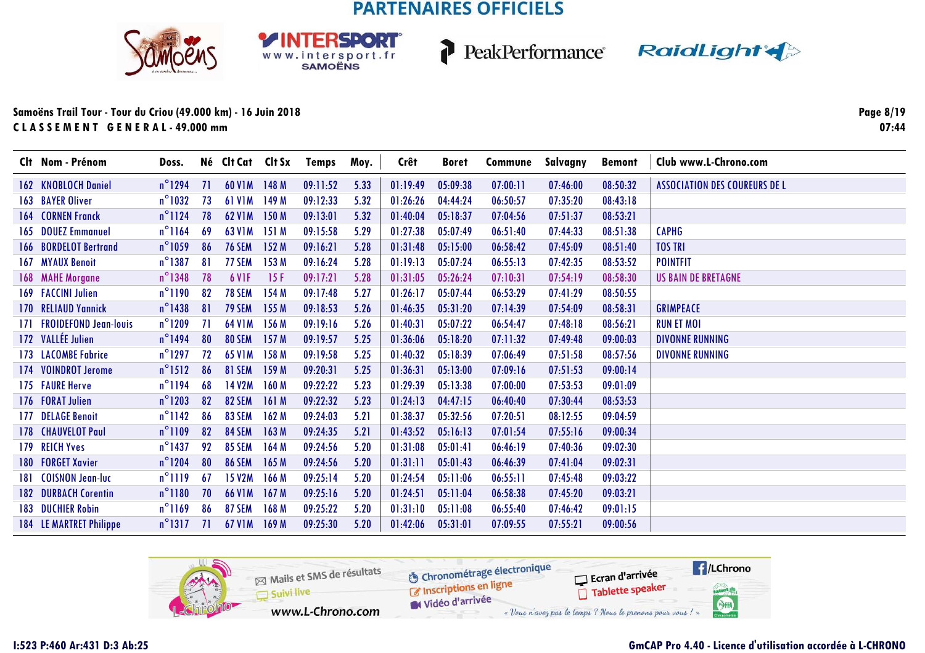**RSDORT** 

WWW.intersport.fr



P



#### **Samoëns Trail Tour - Tour du Criou (49.000 km) - 16 Juin 2018C L A S S E M E N T G E N E R A L - 49.000 mm**

**Page 8/1907:44**

| Clt Nom - Prénom               | Doss.            |    | Né Clt Cat Clt Sx  |                  | Temps    | Moy. | Crêt     | <b>Boret</b> | Commune  | Salvagny | <b>Bemont</b> | Club www.L-Chrono.com                |
|--------------------------------|------------------|----|--------------------|------------------|----------|------|----------|--------------|----------|----------|---------------|--------------------------------------|
| 162 KNOBLOCH Daniel            | $n^{\circ}$ 1294 | 71 | 60 V1M 148 M       |                  | 09:11:52 | 5.33 | 01:19:49 | 05:09:38     | 07:00:11 | 07:46:00 | 08:50:32      | <b>ASSOCIATION DES COUREURS DE L</b> |
| <b>163 BAYER Oliver</b>        | $n^{\circ}$ 1032 | 73 | <b>61 V1M</b>      | 149 M            | 09:12:33 | 5.32 | 01:26:26 | 04:44:24     | 06:50:57 | 07:35:20 | 08:43:18      |                                      |
| <b>164 CORNEN Franck</b>       | $n^{\circ}$ 1124 | 78 | <b>62 V1M</b>      | 150 M            | 09:13:01 | 5.32 | 01:40:04 | 05:18:37     | 07:04:56 | 07:51:37 | 08:53:21      |                                      |
| 165 DOUEZ Emmanuel             | $n^{\circ}$ 1164 | 69 | 63 V1M             | -151 M           | 09:15:58 | 5.29 | 01:27:38 | 05:07:49     | 06:51:40 | 07:44:33 | 08:51:38      | <b>CAPHG</b>                         |
| <b>166 BORDELOT Bertrand</b>   | $n^{\circ}$ 1059 | 86 | <b>76 SEM</b>      | 152M             | 09:16:21 | 5.28 | 01:31:48 | 05:15:00     | 06:58:42 | 07:45:09 | 08:51:40      | <b>TOS TRI</b>                       |
| <b>167 MYAUX Benoit</b>        | $n^{\circ}$ 1387 | 81 | 77 SEM             | 153 M            | 09:16:24 | 5.28 | 01:19:13 | 05:07:24     | 06:55:13 | 07:42:35 | 08:53:52      | <b>POINTFIT</b>                      |
| 168 MAHE Morgane               | $n^{\circ}$ 1348 | 78 | 6 V <sub>1</sub> F | 15F              | 09:17:21 | 5.28 | 01:31:05 | 05:26:24     | 07:10:31 | 07:54:19 | 08:58:30      | <b>US BAIN DE BRETAGNE</b>           |
| 169 FACCINI Julien             | $n^{\circ}1190$  | 82 | <b>78 SEM</b>      | 154 M            | 09:17:48 | 5.27 | 01:26:17 | 05:07:44     | 06:53:29 | 07:41:29 | 08:50:55      |                                      |
| 170 RELIAUD Yannick            | $n^{\circ}$ 1438 | 81 | <b>79 SEM</b>      | 155 M            | 09:18:53 | 5.26 | 01:46:35 | 05:31:20     | 07:14:39 | 07:54:09 | 08:58:31      | <b>GRIMPEACE</b>                     |
| 171 FROIDEFOND Jean-louis      | $n^{\circ}$ 1209 | 71 | <b>64 V1M</b>      | 156 M            | 09:19:16 | 5.26 | 01:40:31 | 05:07:22     | 06:54:47 | 07:48:18 | 08:56:21      | <b>RUN ET MOI</b>                    |
| 172 VALLÉE Julien              | $n^{\circ}$ 1494 | 80 | <b>80 SEM</b>      | 157M             | 09:19:57 | 5.25 | 01:36:06 | 05:18:20     | 07:11:32 | 07:49:48 | 09:00:03      | <b>DIVONNE RUNNING</b>               |
| 173 LACOMBE Fabrice            | $n^{\circ}$ 1297 | 72 | <b>65 V1M</b>      | 158 M            | 09:19:58 | 5.25 | 01:40:32 | 05:18:39     | 07:06:49 | 07:51:58 | 08:57:56      | <b>DIVONNE RUNNING</b>               |
| 174 VOINDROT Jerome            | $n^{\circ}$ 1512 | 86 | 81 SEM             | 159 M            | 09:20:31 | 5.25 | 01:36:31 | 05:13:00     | 07:09:16 | 07:51:53 | 09:00:14      |                                      |
| 175 FAURE Herve                | $n^{\circ}$ 1194 | 68 | <b>14 V2M</b>      | 160 <sub>M</sub> | 09:22:22 | 5.23 | 01:29:39 | 05:13:38     | 07:00:00 | 07:53:53 | 09:01:09      |                                      |
| 176 FORAT Julien               | $n^{\circ}$ 1203 | 82 | <b>82 SEM</b>      | 161M             | 09:22:32 | 5.23 | 01:24:13 | 04:47:15     | 06:40:40 | 07:30:44 | 08:53:53      |                                      |
| 177 DELAGE Benoit              | $n^{\circ}$ 1142 | 86 | 83 SEM             | 162 <sub>M</sub> | 09:24:03 | 5.21 | 01:38:37 | 05:32:56     | 07:20:51 | 08:12:55 | 09:04:59      |                                      |
| 178 CHAUVELOT Paul             | $n^{\circ}1109$  | 82 | 84 SEM             | 163 M            | 09:24:35 | 5.21 | 01:43:52 | 05:16:13     | 07:01:54 | 07:55:16 | 09:00:34      |                                      |
| 179 REICH Yves                 | $n^{\circ}$ 1437 | 92 | <b>85 SEM</b>      | 164 M            | 09:24:56 | 5.20 | 01:31:08 | 05:01:41     | 06:46:19 | 07:40:36 | 09:02:30      |                                      |
| 180 FORGET Xavier              | $n^{\circ}$ 1204 | 80 | <b>86 SEM</b>      | 165M             | 09:24:56 | 5.20 | 01:31:11 | 05:01:43     | 06:46:39 | 07:41:04 | 09:02:31      |                                      |
| 181 COISNON Jean-luc           | $n^{\circ}$ 1119 | 67 | <b>15 V2M</b>      | 166 M            | 09:25:14 | 5.20 | 01:24:54 | 05:11:06     | 06:55:11 | 07:45:48 | 09:03:22      |                                      |
| <b>182 DURBACH Corentin</b>    | $n^{\circ}1180$  | 70 | <b>66 V1M</b>      | 167 <sub>M</sub> | 09:25:16 | 5.20 | 01:24:51 | 05:11:04     | 06:58:38 | 07:45:20 | 09:03:21      |                                      |
| <b>183 DUCHIER Robin</b>       | $n^{\circ}1169$  | 86 | <b>87 SEM</b>      | 168 M            | 09:25:22 | 5.20 | 01:31:10 | 05:11:08     | 06:55:40 | 07:46:42 | 09:01:15      |                                      |
| <b>184 LE MARTRET Philippe</b> | $n^{\circ}$ 1317 | 71 | <b>67 V1M</b>      | 169 <sub>M</sub> | 09:25:30 | 5.20 | 01:42:06 | 05:31:01     | 07:09:55 | 07:55:21 | 09:00:56      |                                      |

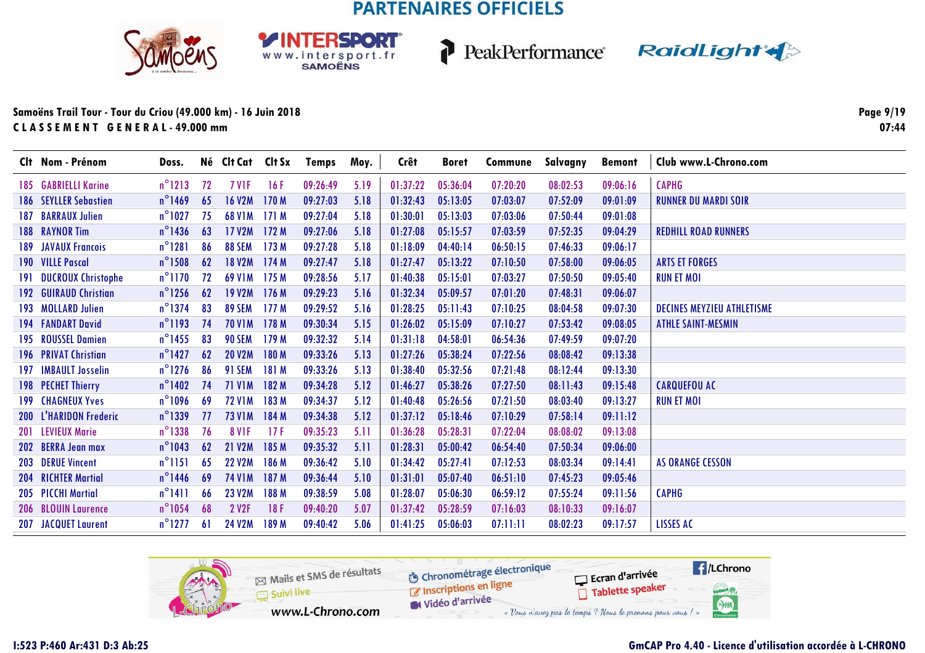**RSDORT** 

WWW.intersport.fr





#### **Samoëns Trail Tour - Tour du Criou (49.000 km) - 16 Juin 2018C L A S S E M E N T G E N E R A L - 49.000 mm**

**Page 9/1907:44**

|     | Clt Nom - Prénom             | Doss.            |    | Né Clt Cat Clt Sx  |                  | Temps    | Moy. | Crêt     | <b>Boret</b> | <b>Commune</b> | Salvagny | <b>Bemont</b> | Club www.L-Chrono.com             |
|-----|------------------------------|------------------|----|--------------------|------------------|----------|------|----------|--------------|----------------|----------|---------------|-----------------------------------|
|     | 185 GABRIELLI Karine         | $n^{\circ}1213$  | 72 | <b>7 V1F</b>       | 16F              | 09:26:49 | 5.19 | 01:37:22 | 05:36:04     | 07:20:20       | 08:02:53 | 09:06:16      | <b>CAPHG</b>                      |
|     | 186 SEYLLER Sebastien        | $n^{\circ}$ 1469 | 65 | <b>16 V2M</b>      | 170 M            | 09:27:03 | 5.18 | 01:32:43 | 05:13:05     | 07:03:07       | 07:52:09 | 09:01:09      | <b>RUNNER DU MARDI SOIR</b>       |
|     | <b>187 BARRAUX Julien</b>    | $n^{\circ}$ 1027 | 75 | <b>68 V1M</b>      | 171 M            | 09:27:04 | 5.18 | 01:30:01 | 05:13:03     | 07:03:06       | 07:50:44 | 09:01:08      |                                   |
|     | 188 RAYNOR Tim               | $n^{\circ}$ 1436 | 63 | 17 V2M             | 172M             | 09:27:06 | 5.18 | 01:27:08 | 05:15:57     | 07:03:59       | 07:52:35 | 09:04:29      | <b>REDHILL ROAD RUNNERS</b>       |
|     | 189 JAVAUX Francois          | $n^{\circ}$ 1281 | 86 | <b>88 SEM</b>      | 173M             | 09:27:28 | 5.18 | 01:18:09 | 04:40:14     | 06:50:15       | 07:46:33 | 09:06:17      |                                   |
|     | 190 VILLE Pascal             | $n^{\circ}$ 1508 | 62 | <b>18 V2M</b>      | 174M             | 09:27:47 | 5.18 | 01:27:47 | 05:13:22     | 07:10:50       | 07:58:00 | 09:06:05      | <b>ARTS ET FORGES</b>             |
| 191 | <b>DUCROUX Christophe</b>    | $n^{\circ}$ 1170 | 72 | 69 V1M             | 175M             | 09:28:56 | 5.17 | 01:40:38 | 05:15:01     | 07:03:27       | 07:50:50 | 09:05:40      | <b>RUN ET MOI</b>                 |
|     | <b>192 GUIRAUD Christian</b> | $n^{\circ}$ 1256 | 62 | <b>19 V2M</b>      | 176M             | 09:29:23 | 5.16 | 01:32:34 | 05:09:57     | 07:01:20       | 07:48:31 | 09:06:07      |                                   |
|     | 193 MOLLARD Julien           | $n^{\circ}$ 1374 | 83 | <b>89 SEM</b>      | 177M             | 09:29:52 | 5.16 | 01:28:25 | 05:11:43     | 07:10:25       | 08:04:58 | 09:07:30      | <b>DECINES MEYZIEU ATHLETISME</b> |
|     | <b>194 FANDART David</b>     | $n^{\circ}1193$  | 74 | 70 V1M 178 M       |                  | 09:30:34 | 5.15 | 01:26:02 | 05:15:09     | 07:10:27       | 07:53:42 | 09:08:05      | <b>ATHLE SAINT-MESMIN</b>         |
|     | <b>195 ROUSSEL Damien</b>    | $n^{\circ}$ 1455 | 83 | <b>90 SEM</b>      | 179 <sub>M</sub> | 09:32:32 | 5.14 | 01:31:18 | 04:58:01     | 06:54:36       | 07:49:59 | 09:07:20      |                                   |
|     | <b>196 PRIVAT Christian</b>  | $n^{\circ}$ 1427 | 62 | <b>20 V2M</b>      | <b>180 M</b>     | 09:33:26 | 5.13 | 01:27:26 | 05:38:24     | 07:22:56       | 08:08:42 | 09:13:38      |                                   |
| 197 | <b>IMBAULT Josselin</b>      | $n^{\circ}$ 1276 | 86 | <b>91 SEM</b>      | 181 M            | 09:33:26 | 5.13 | 01:38:40 | 05:32:56     | 07:21:48       | 08:12:44 | 09:13:30      |                                   |
|     | 198 PECHET Thierry           | $n^{\circ}$ 1402 | 74 | <b>71 V1M</b>      | 182 M            | 09:34:28 | 5.12 | 01:46:27 | 05:38:26     | 07:27:50       | 08:11:43 | 09:15:48      | <b>CARQUEFOU AC</b>               |
|     | 199 CHAGNEUX Yves            | $n^{\circ}$ 1096 | 69 | <b>72 V1M</b>      | 183 M            | 09:34:37 | 5.12 | 01:40:48 | 05:26:56     | 07:21:50       | 08:03:40 | 09:13:27      | <b>RUN ET MOI</b>                 |
|     | 200 L'HARIDON Frederic       | $n^{\circ}$ 1339 | 77 | <b>73 V1M</b>      | 184 M            | 09:34:38 | 5.12 | 01:37:12 | 05:18:46     | 07:10:29       | 07:58:14 | 09:11:12      |                                   |
|     | 201 LEVIEUX Marie            | $n^{\circ}$ 1338 | 76 | <b>8 V1F</b>       | 17F              | 09:35:23 | 5.11 | 01:36:28 | 05:28:31     | 07:22:04       | 08:08:02 | 09:13:08      |                                   |
|     | 202 BERRA Jean max           | $n^{\circ}$ 1043 | 62 | <b>21 V2M</b>      | 185 M            | 09:35:32 | 5.11 | 01:28:31 | 05:00:42     | 06:54:40       | 07:50:34 | 09:06:00      |                                   |
|     | 203 DERUE Vincent            | $n^{\circ}1151$  | 65 | <b>22 V2M</b>      | 186 M            | 09:36:42 | 5.10 | 01:34:42 | 05:27:41     | 07:12:53       | 08:03:34 | 09:14:41      | AS ORANGE CESSON                  |
|     | <b>204 RICHTER Martial</b>   | $n^{\circ}$ 1446 | 69 | <b>74 V1M</b>      | 187 M            | 09:36:44 | 5.10 | 01:31:01 | 05:07:40     | 06:51:10       | 07:45:23 | 09:05:46      |                                   |
|     | 205 PICCHI Martial           | $n^{\circ}1411$  | 66 | <b>23 V2M</b>      | 188 M            | 09:38:59 | 5.08 | 01:28:07 | 05:06:30     | 06:59:12       | 07:55:24 | 09:11:56      | <b>CAPHG</b>                      |
|     | 206 BLOUIN Laurence          | $n^{\circ}$ 1054 | 68 | 2 V <sub>2</sub> F | 18F              | 09:40:20 | 5.07 | 01:37:42 | 05:28:59     | 07:16:03       | 08:10:33 | 09:16:07      |                                   |
|     | 207 JACQUET Laurent          | $n^{\circ}$ 1277 | 61 | <b>24 V2M</b>      | 189 M            | 09:40:42 | 5.06 | 01:41:25 | 05:06:03     | 07:11:11       | 08:02:23 | 09:17:57      | <b>LISSES AC</b>                  |

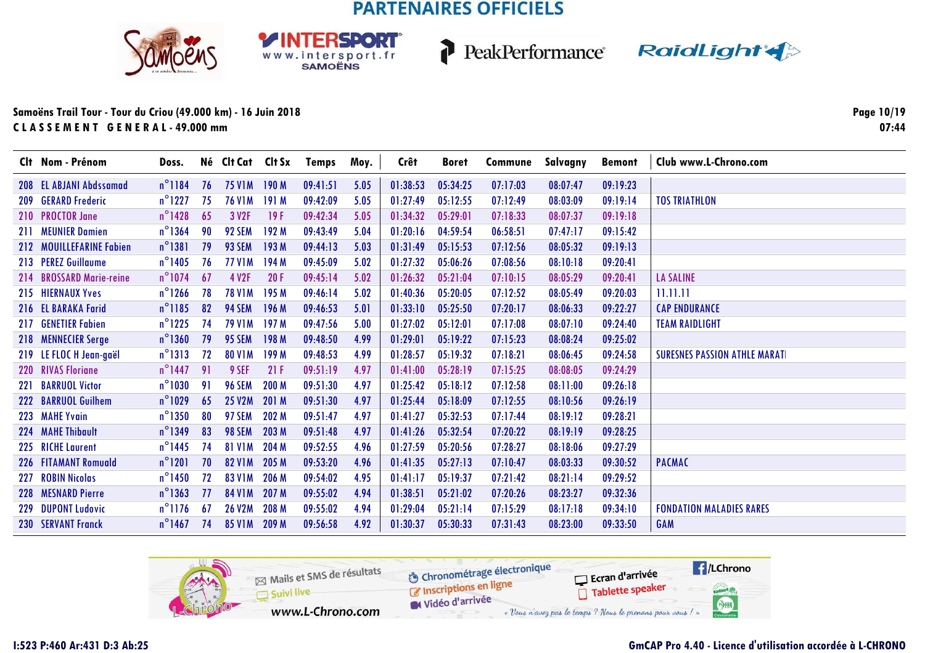**RSDORT** 

WWW.intersport.fr



P



#### **Samoëns Trail Tour - Tour du Criou (49.000 km) - 16 Juin 2018C L A S S E M E N T G E N E R A L - 49.000 mm**

**Page 10/1907:44**

| Clt Nom - Prénom         | Doss.            |    | Né Clt Cat Clt Sx |                  | Temps    | Moy. | Crêt     | <b>Boret</b> | Commune  | Salvagny | <b>Bemont</b> | Club www.L-Chrono.com               |
|--------------------------|------------------|----|-------------------|------------------|----------|------|----------|--------------|----------|----------|---------------|-------------------------------------|
| 208 EL ABJANI Abdssamad  | $n^{\circ}1184$  | 76 | 75 V1M 190 M      |                  | 09:41:51 | 5.05 | 01:38:53 | 05:34:25     | 07:17:03 | 08:07:47 | 09:19:23      |                                     |
| 209 GERARD Frederic      | $n^{\circ}$ 1227 | 75 | <b>76 V1M</b>     | 191 M            | 09:42:09 | 5.05 | 01:27:49 | 05:12:55     | 07:12:49 | 08:03:09 | 09:19:14      | <b>TOS TRIATHLON</b>                |
| 210 PROCTOR Jane         | $n^{\circ}$ 1428 | 65 | 3 V <sub>2F</sub> | 19F              | 09:42:34 | 5.05 | 01:34:32 | 05:29:01     | 07:18:33 | 08:07:37 | 09:19:18      |                                     |
| 211 MEUNIER Damien       | $n^{\circ}$ 1364 | 90 | <b>92 SEM</b>     | 192 M            | 09:43:49 | 5.04 | 01:20:16 | 04:59:54     | 06:58:51 | 07:47:17 | 09:15:42      |                                     |
| 212 MOUILLEFARINE Fabien | $n^{\circ}$ 1381 | 79 | 93 SEM            | 193 M            | 09:44:13 | 5.03 | 01:31:49 | 05:15:53     | 07:12:56 | 08:05:32 | 09:19:13      |                                     |
| 213 PEREZ Guillaume      | $n^{\circ}$ 1405 | 76 | <b>77 V1M</b>     | 194 M            | 09:45:09 | 5.02 | 01:27:32 | 05:06:26     | 07:08:56 | 08:10:18 | 09:20:41      |                                     |
| 214 BROSSARD Marie-reine | $n^{\circ}$ 1074 | 67 | 4 V <sub>2F</sub> | 20F              | 09:45:14 | 5.02 | 01:26:32 | 05:21:04     | 07:10:15 | 08:05:29 | 09:20:41      | <b>LA SALINE</b>                    |
| <b>215 HIERNAUX Yves</b> | $n^{\circ}$ 1266 | 78 | <b>78 V1M</b>     | 195 M            | 09:46:14 | 5.02 | 01:40:36 | 05:20:05     | 07:12:52 | 08:05:49 | 09:20:03      | 11.11.11                            |
| 216 EL BARAKA Farid      | $n^{\circ}1185$  | 82 | <b>94 SEM</b>     | 196 M            | 09:46:53 | 5.01 | 01:33:10 | 05:25:50     | 07:20:17 | 08:06:33 | 09:22:27      | <b>CAP ENDURANCE</b>                |
| 217 GENETIER Fabien      | $n^{\circ}$ 1225 | 74 | <b>79 V1M</b>     | 197 <sub>M</sub> | 09:47:56 | 5.00 | 01:27:02 | 05:12:01     | 07:17:08 | 08:07:10 | 09:24:40      | <b>TEAM RAIDLIGHT</b>               |
| 218 MENNECIER Serge      | $n^{\circ}$ 1360 | 79 | <b>95 SEM</b>     | 198 M            | 09:48:50 | 4.99 | 01:29:01 | 05:19:22     | 07:15:23 | 08:08:24 | 09:25:02      |                                     |
| 219 LE FLOC H Jean-gaël  | $n^{\circ}$ 1313 | 72 | <b>80 V1M</b>     | 199 M            | 09:48:53 | 4.99 | 01:28:57 | 05:19:32     | 07:18:21 | 08:06:45 | 09:24:58      | <b>SURESNES PASSION ATHLE MARAT</b> |
| 220 RIVAS Floriane       | $n^{\circ}$ 1447 | 91 | 9 SEF             | 21F              | 09:51:19 | 4.97 | 01:41:00 | 05:28:19     | 07:15:25 | 08:08:05 | 09:24:29      |                                     |
| 221 BARRUOL Victor       | $n^{\circ}$ 1030 | 91 | <b>96 SEM</b>     | 200 M            | 09:51:30 | 4.97 | 01:25:42 | 05:18:12     | 07:12:58 | 08:11:00 | 09:26:18      |                                     |
| 222 BARRUOL Guilhem      | $n^{\circ}$ 1029 | 65 | <b>25 V2M</b>     | 201 M            | 09:51:30 | 4.97 | 01:25:44 | 05:18:09     | 07:12:55 | 08:10:56 | 09:26:19      |                                     |
| 223 MAHE Yvain           | $n^{\circ}$ 1350 | 80 | <b>97 SEM</b>     | 202 M            | 09:51:47 | 4.97 | 01:41:27 | 05:32:53     | 07:17:44 | 08:19:12 | 09:28:21      |                                     |
| 224 MAHE Thibault        | $n^{\circ}$ 1349 | 83 | <b>98 SEM</b>     | 203 M            | 09:51:48 | 4.97 | 01:41:26 | 05:32:54     | 07:20:22 | 08:19:19 | 09:28:25      |                                     |
| 225 RICHE Laurent        | $n^{\circ}$ 1445 | 74 | <b>81 V1M</b>     | 204 M            | 09:52:55 | 4.96 | 01:27:59 | 05:20:56     | 07:28:27 | 08:18:06 | 09:27:29      |                                     |
| 226 FITAMANT Romuald     | $n^{\circ}$ 1201 | 70 | <b>82 V1M</b>     | 205 M            | 09:53:20 | 4.96 | 01:41:35 | 05:27:13     | 07:10:47 | 08:03:33 | 09:30:52      | <b>PACMAC</b>                       |
| 227 ROBIN Nicolas        | $n^{\circ}$ 1450 | 72 | <b>83 V1M</b>     | 206 M            | 09:54:02 | 4.95 | 01:41:17 | 05:19:37     | 07:21:42 | 08:21:14 | 09:29:52      |                                     |
| 228 MESNARD Pierre       | $n^{\circ}$ 1363 | 77 | <b>84 V1M</b>     | 207 M            | 09:55:02 | 4.94 | 01:38:51 | 05:21:02     | 07:20:26 | 08:23:27 | 09:32:36      |                                     |
| 229 DUPONT Ludovic       | $n^{\circ}$ 1176 | 67 | <b>26 V2M</b>     | 208 M            | 09:55:02 | 4.94 | 01:29:04 | 05:21:14     | 07:15:29 | 08:17:18 | 09:34:10      | <b>FONDATION MALADIES RARES</b>     |
| 230 SERVANT Franck       | $n^{\circ}$ 1467 | 74 | <b>85 V1M</b>     | 209 M            | 09:56:58 | 4.92 | 01:30:37 | 05:30:33     | 07:31:43 | 08:23:00 | 09:33:50      | GAM                                 |

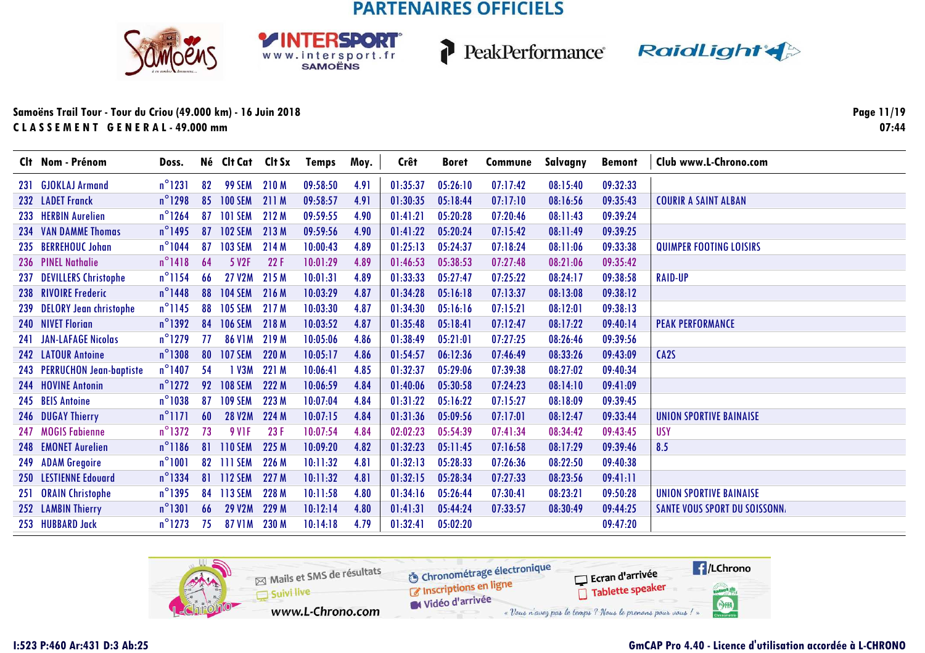**RSDORT** 

WWW.intersport.fr





#### **Samoëns Trail Tour - Tour du Criou (49.000 km) - 16 Juin 2018C L A S S E M E N T G E N E R A L - 49.000 mm**

**Page 11/1907:44**

|     | Clt Nom - Prénom              | Doss.            |    | Né Clt Cat Clt Sx |              | Temps    | Moy. | Crêt     | <b>Boret</b> | <b>Commune</b> | Salvagny | <b>Bemont</b> | Club www.L-Chrono.com                |
|-----|-------------------------------|------------------|----|-------------------|--------------|----------|------|----------|--------------|----------------|----------|---------------|--------------------------------------|
|     | 231 GJOKLAJ Armand            | $n^{\circ}$ 1231 | 82 | <b>99 SEM</b>     | 210M         | 09:58:50 | 4.91 | 01:35:37 | 05:26:10     | 07:17:42       | 08:15:40 | 09:32:33      |                                      |
|     | 232 LADET Franck              | $n^{\circ}$ 1298 | 85 | <b>100 SEM</b>    | 211 M        | 09:58:57 | 4.91 | 01:30:35 | 05:18:44     | 07:17:10       | 08:16:56 | 09:35:43      | <b>COURIR A SAINT ALBAN</b>          |
|     | 233 HERBIN Aurelien           | $n^{\circ}$ 1264 | 87 | <b>101 SEM</b>    | 212 M        | 09:59:55 | 4.90 | 01:41:21 | 05:20:28     | 07:20:46       | 08:11:43 | 09:39:24      |                                      |
|     | 234 VAN DAMME Thomas          | $n^{\circ}$ 1495 | 87 | <b>102 SEM</b>    | 213 M        | 09:59:56 | 4.90 | 01:41:22 | 05:20:24     | 07:15:42       | 08:11:49 | 09:39:25      |                                      |
| 235 | <b>BERREHOUC Johan</b>        | $n^{\circ}$ 1044 | 87 | <b>103 SEM</b>    | 214 M        | 10:00:43 | 4.89 | 01:25:13 | 05:24:37     | 07:18:24       | 08:11:06 | 09:33:38      | <b>QUIMPER FOOTING LOISIRS</b>       |
|     | 236 PINEL Nathalie            | $n^{\circ}$ 1418 | 64 | 5 V <sub>2F</sub> | 22F          | 10:01:29 | 4.89 | 01:46:53 | 05:38:53     | 07:27:48       | 08:21:06 | 09:35:42      |                                      |
| 237 | <b>DEVILLERS Christophe</b>   | $n^{\circ}$ 1154 | 66 | <b>27 V2M</b>     | 215 M        | 10:01:31 | 4.89 | 01:33:33 | 05:27:47     | 07:25:22       | 08:24:17 | 09:38:58      | <b>RAID-UP</b>                       |
|     | 238 RIVOIRE Frederic          | $n^{\circ}$ 1448 | 88 | <b>104 SEM</b>    | 216 M        | 10:03:29 | 4.87 | 01:34:28 | 05:16:18     | 07:13:37       | 08:13:08 | 09:38:12      |                                      |
| 239 | <b>DELORY Jean christophe</b> | $n^{\circ}$ 1145 | 88 | <b>105 SEM</b>    | 217 M        | 10:03:30 | 4.87 | 01:34:30 | 05:16:16     | 07:15:21       | 08:12:01 | 09:38:13      |                                      |
|     | 240 NIVET Florian             | $n^{\circ}$ 1392 | 84 | <b>106 SEM</b>    | <b>218 M</b> | 10:03:52 | 4.87 | 01:35:48 | 05:18:41     | 07:12:47       | 08:17:22 | 09:40:14      | <b>PEAK PERFORMANCE</b>              |
|     | <b>241 JAN-LAFAGE Nicolas</b> | $n^{\circ}$ 1279 | 77 | <b>86 V1M</b>     | <b>219 M</b> | 10:05:06 | 4.86 | 01:38:49 | 05:21:01     | 07:27:25       | 08:26:46 | 09:39:56      |                                      |
|     | 242 LATOUR Antoine            | $n^{\circ}$ 1308 | 80 | <b>107 SEM</b>    | 220 M        | 10:05:17 | 4.86 | 01:54:57 | 06:12:36     | 07:46:49       | 08:33:26 | 09:43:09      | CA <sub>25</sub>                     |
|     | 243 PERRUCHON Jean-baptiste   | $n^{\circ}$ 1407 | 54 | 1 V3M             | 221 M        | 10:06:41 | 4.85 | 01:32:37 | 05:29:06     | 07:39:38       | 08:27:02 | 09:40:34      |                                      |
|     | 244 HOVINE Antonin            | $n^{\circ}$ 1272 | 92 | <b>108 SEM</b>    | 222 M        | 10:06:59 | 4.84 | 01:40:06 | 05:30:58     | 07:24:23       | 08:14:10 | 09:41:09      |                                      |
|     | 245 BEIS Antoine              | $n^{\circ}$ 1038 | 87 | <b>109 SEM</b>    | 223 M        | 10:07:04 | 4.84 | 01:31:22 | 05:16:22     | 07:15:27       | 08:18:09 | 09:39:45      |                                      |
|     | 246 DUGAY Thierry             | $n^{\circ}$ 1171 | 60 | <b>28 V2M</b>     | 224 M        | 10:07:15 | 4.84 | 01:31:36 | 05:09:56     | 07:17:01       | 08:12:47 | 09:33:44      | <b>UNION SPORTIVE BAINAISE</b>       |
| 247 | <b>MOGIS Fabienne</b>         | $n^{\circ}$ 1372 | 73 | <b>9 V1F</b>      | 23F          | 10:07:54 | 4.84 | 02:02:23 | 05:54:39     | 07:41:34       | 08:34:42 | 09:43:45      | <b>USY</b>                           |
| 248 | <b>EMONET Aurelien</b>        | $n^{\circ}$ 1186 | 81 | <b>110 SEM</b>    | 225 M        | 10:09:20 | 4.82 | 01:32:23 | 05:11:45     | 07:16:58       | 08:17:29 | 09:39:46      | 8.5                                  |
| 249 | <b>ADAM Gregoire</b>          | $n^{\circ}1001$  | 82 | <b>111 SEM</b>    | 226 M        | 10:11:32 | 4.81 | 01:32:13 | 05:28:33     | 07:26:36       | 08:22:50 | 09:40:38      |                                      |
|     | 250 LESTIENNE Edouard         | $n^{\circ}$ 1334 | 81 | <b>112 SEM</b>    | 227 M        | 10:11:32 | 4.81 | 01:32:15 | 05:28:34     | 07:27:33       | 08:23:56 | 09:41:11      |                                      |
|     | 251 ORAIN Christophe          | $n^{\circ}$ 1395 | 84 | 113 SEM           | 228 M        | 10:11:58 | 4.80 | 01:34:16 | 05:26:44     | 07:30:41       | 08:23:21 | 09:50:28      | <b>UNION SPORTIVE BAINAISE</b>       |
|     | 252 LAMBIN Thierry            | $n^{\circ}1301$  | 66 | <b>29 V2M</b>     | 229 M        | 10:12:14 | 4.80 | 01:41:31 | 05:44:24     | 07:33:57       | 08:30:49 | 09:44:25      | <b>SANTE VOUS SPORT DU SOISSONN.</b> |
|     | 253 HUBBARD Jack              | $n^{\circ}$ 1273 | 75 | <b>87 V1M</b>     | 230 M        | 10:14:18 | 4.79 | 01:32:41 | 05:02:20     |                |          | 09:47:20      |                                      |

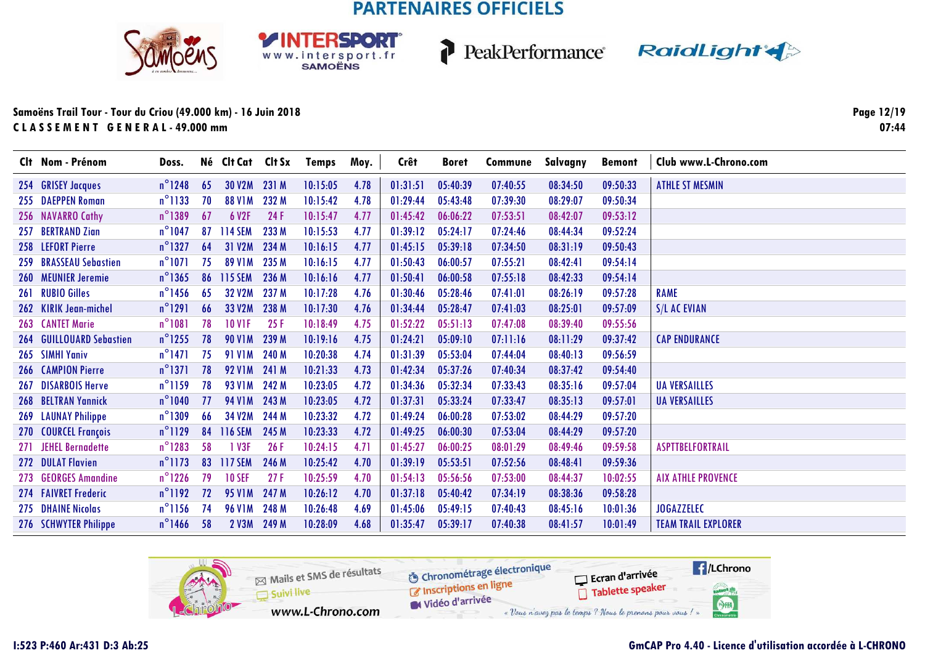**RSDORT** 

WWW.intersport.fr





#### **Samoëns Trail Tour - Tour du Criou (49.000 km) - 16 Juin 2018C L A S S E M E N T G E N E R A L - 49.000 mm**

**Page 12/1907:44**

|            | Clt Nom - Prénom         | Doss.            |      | Né Clt Cat Clt Sx |       | Temps    | Moy. | Crêt     | <b>Boret</b> | <b>Commune</b> | Salvagny | <b>Bemont</b> | Club www.L-Chrono.com      |
|------------|--------------------------|------------------|------|-------------------|-------|----------|------|----------|--------------|----------------|----------|---------------|----------------------------|
|            | 254 GRISEY Jacques       | $n^{\circ}$ 1248 | 65   | <b>30 V2M</b>     | 231 M | 10:15:05 | 4.78 | 01:31:51 | 05:40:39     | 07:40:55       | 08:34:50 | 09:50:33      | <b>ATHLE ST MESMIN</b>     |
|            | 255 DAEPPEN Roman        | $n^{\circ}$ 1133 | 70   | <b>88 V1M</b>     | 232 M | 10:15:42 | 4.78 | 01:29:44 | 05:43:48     | 07:39:30       | 08:29:07 | 09:50:34      |                            |
|            | 256 NAVARRO Cathy        | $n^{\circ}$ 1389 | 67   | 6 V <sub>2F</sub> | 24F   | 10:15:47 | 4.77 | 01:45:42 | 06:06:22     | 07:53:51       | 08:42:07 | 09:53:12      |                            |
|            | 257 BERTRAND Zian        | $n^{\circ}$ 1047 | 87   | <b>114 SEM</b>    | 233 M | 10:15:53 | 4.77 | 01:39:12 | 05:24:17     | 07:24:46       | 08:44:34 | 09:52:24      |                            |
|            | 258 LEFORT Pierre        | $n^{\circ}$ 1327 | 64   | 31 V2M            | 234 M | 10:16:15 | 4.77 | 01:45:15 | 05:39:18     | 07:34:50       | 08:31:19 | 09:50:43      |                            |
|            | 259 BRASSEAU Sebastien   | $n^{\circ}$ 1071 | 75   | 89 V1M            | 235 M | 10:16:15 | 4.77 | 01:50:43 | 06:00:57     | 07:55:21       | 08:42:41 | 09:54:14      |                            |
| <b>260</b> | <b>MEUNIER Jeremie</b>   | $n^{\circ}$ 1365 | 86   | <b>115 SEM</b>    | 236 M | 10:16:16 | 4.77 | 01:50:41 | 06:00:58     | 07:55:18       | 08:42:33 | 09:54:14      |                            |
|            | 261 RUBIO Gilles         | $n^{\circ}$ 1456 | 65   | 32 V2M            | 237 M | 10:17:28 | 4.76 | 01:30:46 | 05:28:46     | 07:41:01       | 08:26:19 | 09:57:28      | <b>RAME</b>                |
|            | 262 KIRIK Jean-michel    | $n^{\circ}$ 1291 | 66   | 33 V2M            | 238 M | 10:17:30 | 4.76 | 01:34:44 | 05:28:47     | 07:41:03       | 08:25:01 | 09:57:09      | <b>S/L AC EVIAN</b>        |
|            | 263 CANTET Marie         | $n^{\circ}1081$  | 78   | <b>10 V1F</b>     | 25F   | 10:18:49 | 4.75 | 01:52:22 | 05:51:13     | 07:47:08       | 08:39:40 | 09:55:56      |                            |
|            | 264 GUILLOUARD Sebastien | $n^{\circ}$ 1255 | 78   | <b>90 V1M</b>     | 239 M | 10:19:16 | 4.75 | 01:24:21 | 05:09:10     | 07:11:16       | 08:11:29 | 09:37:42      | <b>CAP ENDURANCE</b>       |
|            | 265 SIMHI Yaniv          | $n^{\circ}$ 1471 | 75   | <b>91 V1M</b>     | 240 M | 10:20:38 | 4.74 | 01:31:39 | 05:53:04     | 07:44:04       | 08:40:13 | 09:56:59      |                            |
|            | 266 CAMPION Pierre       | $n^{\circ}$ 1371 | 78   | <b>92 V1M</b>     | 241 M | 10:21:33 | 4.73 | 01:42:34 | 05:37:26     | 07:40:34       | 08:37:42 | 09:54:40      |                            |
| 267        | <b>DISARBOIS Herve</b>   | $n^{\circ}$ 1159 | 78   | <b>93 V1M</b>     | 242 M | 10:23:05 | 4.72 | 01:34:36 | 05:32:34     | 07:33:43       | 08:35:16 | 09:57:04      | <b>UA VERSAILLES</b>       |
|            | 268 BELTRAN Yannick      | $n^{\circ}$ 1040 | 77   | <b>94 V1M</b>     | 243 M | 10:23:05 | 4.72 | 01:37:31 | 05:33:24     | 07:33:47       | 08:35:13 | 09:57:01      | <b>UA VERSAILLES</b>       |
|            | 269 LAUNAY Philippe      | $n^{\circ}$ 1309 | 66   | 34 V2M            | 244 M | 10:23:32 | 4.72 | 01:49:24 | 06:00:28     | 07:53:02       | 08:44:29 | 09:57:20      |                            |
|            | 270 COURCEL François     | $n^{\circ}$ 1129 | 84   | <b>116 SEM</b>    | 245 M | 10:23:33 | 4.72 | 01:49:25 | 06:00:30     | 07:53:04       | 08:44:29 | 09:57:20      |                            |
|            | 271 JEHEL Bernadette     | $n^{\circ}$ 1283 | 58   | 1 V3F             | 26F   | 10:24:15 | 4.71 | 01:45:27 | 06:00:25     | 08:01:29       | 08:49:46 | 09:59:58      | ASPTTBELFORTRAIL           |
|            | 272 DULAT Flavien        | $n^{\circ}$ 1173 | 83   | <b>117 SEM</b>    | 246 M | 10:25:42 | 4.70 | 01:39:19 | 05:53:51     | 07:52:56       | 08:48:41 | 09:59:36      |                            |
|            | 273 GEORGES Amandine     | $n^{\circ}$ 1226 | 79   | <b>10 SEF</b>     | 27F   | 10:25:59 | 4.70 | 01:54:13 | 05:56:56     | 07:53:00       | 08:44:37 | 10:02:55      | <b>AIX ATHLE PROVENCE</b>  |
|            | 274 FAIVRET Frederic     | $n^{\circ}$ 1192 | 72   | <b>95 V1M</b>     | 247 M | 10:26:12 | 4.70 | 01:37:18 | 05:40:42     | 07:34:19       | 08:38:36 | 09:58:28      |                            |
|            | 275 DHAINE Nicolas       | $n^{\circ}$ 1156 | - 74 | <b>96 V1M</b>     | 248 M | 10:26:48 | 4.69 | 01:45:06 | 05:49:15     | 07:40:43       | 08:45:16 | 10:01:36      | <b>JOGAZZELEC</b>          |
|            | 276 SCHWYTER Philippe    | $n^{\circ}$ 1466 | 58   | 2 V3M             | 249 M | 10:28:09 | 4.68 | 01:35:47 | 05:39:17     | 07:40:38       | 08:41:57 | 10:01:49      | <b>TEAM TRAIL EXPLORER</b> |

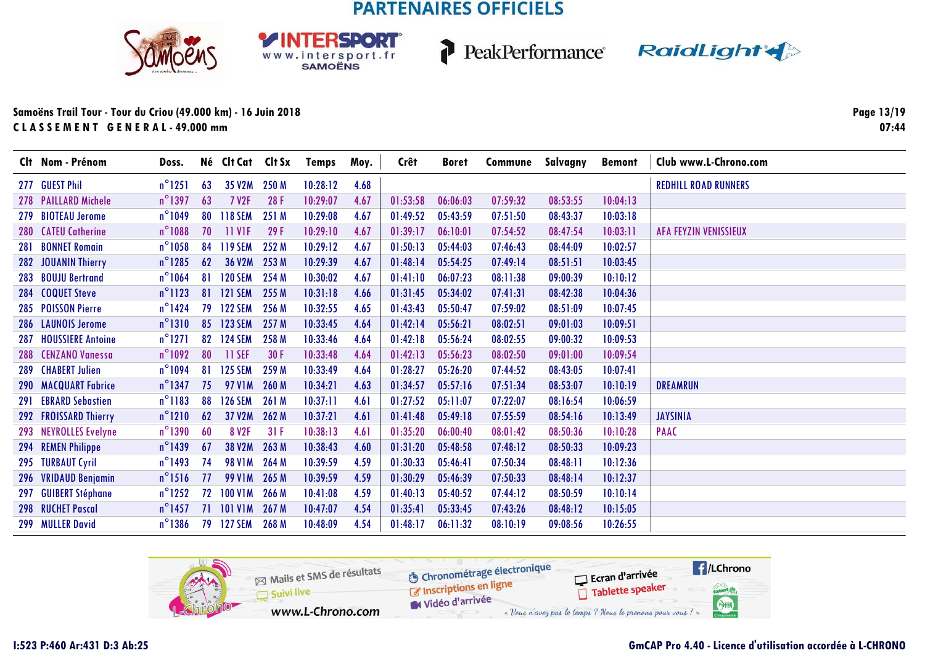**RSDORT** 

WWW.intersport.fr



P



#### **Samoëns Trail Tour - Tour du Criou (49.000 km) - 16 Juin 2018C L A S S E M E N T G E N E R A L - 49.000 mm**

**Page 13/1907:44**

|     | Clt Nom - Prénom            | Doss.            |           | Né Clt Cat Clt Sx |       | Temps    | Moy. | Crêt     | <b>Boret</b> | Commune  | Salvagny | Bemont   | Club www.L-Chrono.com        |
|-----|-----------------------------|------------------|-----------|-------------------|-------|----------|------|----------|--------------|----------|----------|----------|------------------------------|
|     | 277 GUEST Phil              | $n^{\circ}$ 1251 | 63        | 35 V2M            | 250 M | 10:28:12 | 4.68 |          |              |          |          |          | <b>REDHILL ROAD RUNNERS</b>  |
|     | 278 PAILLARD Michele        | $n^{\circ}$ 1397 | 63        | <b>7 V2F</b>      | 28F   | 10:29:07 | 4.67 | 01:53:58 | 06:06:03     | 07:59:32 | 08:53:55 | 10:04:13 |                              |
|     | 279 BIOTEAU Jerome          | $n^{\circ}$ 1049 | 80        | <b>118 SEM</b>    | 251 M | 10:29:08 | 4.67 | 01:49:52 | 05:43:59     | 07:51:50 | 08:43:37 | 10:03:18 |                              |
|     | 280 CATEU Catherine         | $n^{\circ}$ 1088 | 70        | <b>TIVIE</b>      | 29F   | 10:29:10 | 4.67 | 01:39:17 | 06:10:01     | 07:54:52 | 08:47:54 | 10:03:11 | <b>AFA FEYZIN VENISSIEUX</b> |
|     | 281 BONNET Romain           | $n^{\circ}$ 1058 | 84        | <b>119 SEM</b>    | 252 M | 10:29:12 | 4.67 | 01:50:13 | 05:44:03     | 07:46:43 | 08:44:09 | 10:02:57 |                              |
|     | 282 JOUANIN Thierry         | $n^{\circ}$ 1285 | 62        | 36 V2M            | 253 M | 10:29:39 | 4.67 | 01:48:14 | 05:54:25     | 07:49:14 | 08:51:51 | 10:03:45 |                              |
|     | 283 BOUJU Bertrand          | $n^{\circ}1064$  | 81        | <b>120 SEM</b>    | 254 M | 10:30:02 | 4.67 | 01:41:10 | 06:07:23     | 08:11:38 | 09:00:39 | 10:10:12 |                              |
|     | 284 COQUET Steve            | $n^{\circ}$ 1123 | 81        | <b>121 SEM</b>    | 255 M | 10:31:18 | 4.66 | 01:31:45 | 05:34:02     | 07:41:31 | 08:42:38 | 10:04:36 |                              |
|     | 285 POISSON Pierre          | $n^{\circ}$ 1424 | 79        | <b>122 SEM</b>    | 256 M | 10:32:55 | 4.65 | 01:43:43 | 05:50:47     | 07:59:02 | 08:51:09 | 10:07:45 |                              |
|     | 286 LAUNOIS Jerome          | $n^{\circ}$ 1310 | 85        | <b>123 SEM</b>    | 257 M | 10:33:45 | 4.64 | 01:42:14 | 05:56:21     | 08:02:51 | 09:01:03 | 10:09:51 |                              |
| 287 | <b>HOUSSIERE Antoine</b>    | $n^{\circ}$ 1271 | 82        | <b>124 SEM</b>    | 258 M | 10:33:46 | 4.64 | 01:42:18 | 05:56:24     | 08:02:55 | 09:00:32 | 10:09:53 |                              |
|     | 288 CENZANO Vanessa         | $n^{\circ}1092$  | 80        | <b>11 SEF</b>     | 30 F  | 10:33:48 | 4.64 | 01:42:13 | 05:56:23     | 08:02:50 | 09:01:00 | 10:09:54 |                              |
|     | 289 CHABERT Julien          | $n^{\circ}1094$  | 81        | <b>125 SEM</b>    | 259 M | 10:33:49 | 4.64 | 01:28:27 | 05:26:20     | 07:44:52 | 08:43:05 | 10:07:41 |                              |
|     | <b>290 MACQUART Fabrice</b> | $n^{\circ}$ 1347 | 75        | <b>97 V1M</b>     | 260 M | 10:34:21 | 4.63 | 01:34:57 | 05:57:16     | 07:51:34 | 08:53:07 | 10:10:19 | <b>DREAMRUN</b>              |
|     | 291 EBRARD Sebastien        | $n^{\circ}$ 1183 | 88        | <b>126 SEM</b>    | 261 M | 10:37:11 | 4.61 | 01:27:52 | 05:11:07     | 07:22:07 | 08:16:54 | 10:06:59 |                              |
|     | 292 FROISSARD Thierry       | $n^{\circ}1210$  | 62        | 37 V2M            | 262 M | 10:37:21 | 4.61 | 01:41:48 | 05:49:18     | 07:55:59 | 08:54:16 | 10:13:49 | <b>JAYSINIA</b>              |
|     | 293 NEYROLLES Evelyne       | $n^{\circ}$ 1390 | 60        | 8 V <sub>2F</sub> | 31F   | 10:38:13 | 4.61 | 01:35:20 | 06:00:40     | 08:01:42 | 08:50:36 | 10:10:28 | <b>PAAC</b>                  |
|     | 294 REMEN Philippe          | $n^{\circ}$ 1439 | 67        | 38 V2M            | 263 M | 10:38:43 | 4.60 | 01:31:20 | 05:48:58     | 07:48:12 | 08:50:33 | 10:09:23 |                              |
|     | 295 TURBAUT Cyril           | $n^{\circ}$ 1493 | 74        | <b>98 V1M</b>     | 264 M | 10:39:59 | 4.59 | 01:30:33 | 05:46:41     | 07:50:34 | 08:48:11 | 10:12:36 |                              |
|     | 296 VRIDAUD Benjamin        | $n^{\circ}1516$  | 77        | <b>99 V1M</b>     | 265 M | 10:39:59 | 4.59 | 01:30:29 | 05:46:39     | 07:50:33 | 08:48:14 | 10:12:37 |                              |
|     | 297 GUIBERT Stéphane        | $n^{\circ}$ 1252 | 72        | <b>100 V1M</b>    | 266 M | 10:41:08 | 4.59 | 01:40:13 | 05:40:52     | 07:44:12 | 08:50:59 | 10:10:14 |                              |
|     | 298 RUCHET Pascal           | $n^{\circ}$ 1457 | <b>71</b> | <b>101 V1M</b>    | 267 M | 10:47:07 | 4.54 | 01:35:41 | 05:33:45     | 07:43:26 | 08:48:12 | 10:15:05 |                              |
|     | 299 MULLER David            | $n^{\circ}$ 1386 | 79        | 127 SEM           | 268 M | 10:48:09 | 4.54 | 01:48:17 | 06:11:32     | 08:10:19 | 09:08:56 | 10:26:55 |                              |

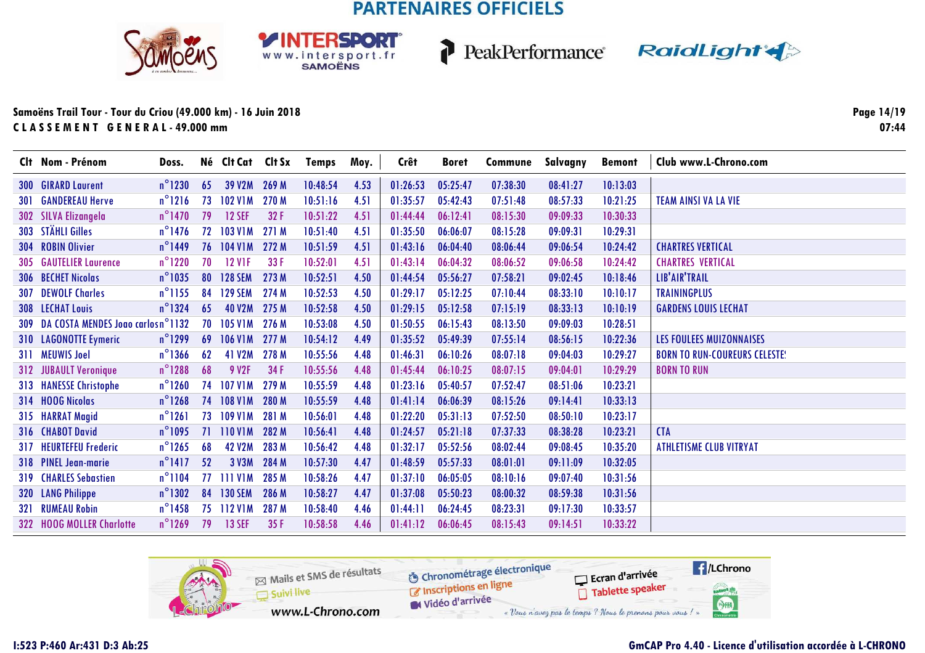**RSDORT** 

WWW.intersport.fr



P



#### **Samoëns Trail Tour - Tour du Criou (49.000 km) - 16 Juin 2018C L A S S E M E N T G E N E R A L - 49.000 mm**

**Page 14/1907:44**

|            | Clt Nom - Prénom                      | Doss.            |     | Né Clt Cat Clt Sx |       | Temps    | Moy. | Crêt     | <b>Boret</b> | <b>Commune</b> | Salvagny | <b>Bemont</b> | Club www.L-Chrono.com                |
|------------|---------------------------------------|------------------|-----|-------------------|-------|----------|------|----------|--------------|----------------|----------|---------------|--------------------------------------|
|            | <b>300 GIRARD Laurent</b>             | $n^{\circ}$ 1230 | 65  | 39 V2M            | 269 M | 10:48:54 | 4.53 | 01:26:53 | 05:25:47     | 07:38:30       | 08:41:27 | 10:13:03      |                                      |
| <b>301</b> | <b>GANDEREAU Herve</b>                | $n^{\circ}1216$  | 73  | <b>102 V1M</b>    | 270 M | 10:51:16 | 4.51 | 01:35:57 | 05:42:43     | 07:51:48       | 08:57:33 | 10:21:25      | <b>TEAM AINSI VA LA VIE</b>          |
|            | 302 SILVA Elizangela                  | $n^{\circ}$ 1470 | 79  | <b>12 SEF</b>     | 32 F  | 10:51:22 | 4.51 | 01:44:44 | 06:12:41     | 08:15:30       | 09:09:33 | 10:30:33      |                                      |
|            | 303 STÄHLI Gilles                     | $n^{\circ}$ 1476 | 72  | <b>103 V1M</b>    | 271 M | 10:51:40 | 4.51 | 01:35:50 | 06:06:07     | 08:15:28       | 09:09:31 | 10:29:31      |                                      |
| 304        | <b>ROBIN Olivier</b>                  | $n^{\circ}$ 1449 | 76  | <b>104 V1M</b>    | 272 M | 10:51:59 | 4.51 | 01:43:16 | 06:04:40     | 08:06:44       | 09:06:54 | 10:24:42      | <b>CHARTRES VERTICAL</b>             |
|            | <b>305 GAUTELIER Laurence</b>         | $n^{\circ}$ 1220 | 70  | <b>12 V1F</b>     | 33F   | 10:52:01 | 4.51 | 01:43:14 | 06:04:32     | 08:06:52       | 09:06:58 | 10:24:42      | <b>CHARTRES VERTICAL</b>             |
|            | <b>306 BECHET Nicolas</b>             | $n^{\circ}$ 1035 | 80  | <b>128 SEM</b>    | 273 M | 10:52:51 | 4.50 | 01:44:54 | 05:56:27     | 07:58:21       | 09:02:45 | 10:18:46      | LIB'AIR'TRAIL                        |
|            | <b>307 DEWOLF Charles</b>             | $n^{\circ}$ 1155 | 84  | <b>129 SEM</b>    | 274 M | 10:52:53 | 4.50 | 01:29:17 | 05:12:25     | 07:10:44       | 08:33:10 | 10:10:17      | <b>TRAININGPLUS</b>                  |
|            | 308 LECHAT Louis                      | $n^{\circ}$ 1324 | 65  | <b>40 V2M</b>     | 275 M | 10:52:58 | 4.50 | 01:29:15 | 05:12:58     | 07:15:19       | 08:33:13 | 10:10:19      | <b>GARDENS LOUIS LECHAT</b>          |
|            | 309 DA COSTA MENDES Joao carlosn°1132 |                  | 70  | <b>105 V1M</b>    | 276 M | 10:53:08 | 4.50 | 01:50:55 | 06:15:43     | 08:13:50       | 09:09:03 | 10:28:51      |                                      |
|            | 310 LAGONOTTE Eymeric                 | $n^{\circ}$ 1299 | 69  | <b>106 V1M</b>    | 277 M | 10:54:12 | 4.49 | 01:35:52 | 05:49:39     | 07:55:14       | 08:56:15 | 10:22:36      | <b>LES FOULEES MUIZONNAISES</b>      |
|            | 311 MEUWIS Joel                       | $n^{\circ}$ 1366 | 62  | 41 V2M            | 278 M | 10:55:56 | 4.48 | 01:46:31 | 06:10:26     | 08:07:18       | 09:04:03 | 10:29:27      | <b>BORN TO RUN-COUREURS CELESTE!</b> |
|            | <b>312 JUBAULT Veronique</b>          | $n^{\circ}$ 1288 | 68  | 9 V2F             | 34 F  | 10:55:56 | 4.48 | 01:45:44 | 06:10:25     | 08:07:15       | 09:04:01 | 10:29:29      | <b>BORN TO RUN</b>                   |
|            | 313 HANESSE Christophe                | $n^{\circ}$ 1260 | 74  | <b>107 V1M</b>    | 279 M | 10:55:59 | 4.48 | 01:23:16 | 05:40:57     | 07:52:47       | 08:51:06 | 10:23:21      |                                      |
|            | 314 HOOG Nicolas                      | $n^{\circ}$ 1268 | 74  | <b>108 V1M</b>    | 280 M | 10:55:59 | 4.48 | 01:41:14 | 06:06:39     | 08:15:26       | 09:14:41 | 10:33:13      |                                      |
|            | 315 HARRAT Magid                      | $n^{\circ}$ 1261 | 73  | <b>109 V1M</b>    | 281 M | 10:56:01 | 4.48 | 01:22:20 | 05:31:13     | 07:52:50       | 08:50:10 | 10:23:17      |                                      |
|            | 316 CHABOT David                      | $n^{\circ}$ 1095 | 71  | <b>110 V1M</b>    | 282 M | 10:56:41 | 4.48 | 01:24:57 | 05:21:18     | 07:37:33       | 08:38:28 | 10:23:21      | <b>CTA</b>                           |
|            | 317 HEURTEFEU Frederic                | $n^{\circ}$ 1265 | 68  | <b>42 V2M</b>     | 283 M | 10:56:42 | 4.48 | 01:32:17 | 05:52:56     | 08:02:44       | 09:08:45 | 10:35:20      | <b>ATHLETISME CLUB VITRYAT</b>       |
|            | 318 PINEL Jean-marie                  | $n^{\circ}$ 1417 | 52  | 3 V3M             | 284 M | 10:57:30 | 4.47 | 01:48:59 | 05:57:33     | 08:01:01       | 09:11:09 | 10:32:05      |                                      |
|            | <b>319 CHARLES Sebastien</b>          | $n^{\circ}$ 1104 | -77 | <b>111 V1M</b>    | 285 M | 10:58:26 | 4.47 | 01:37:10 | 06:05:05     | 08:10:16       | 09:07:40 | 10:31:56      |                                      |
|            | 320 LANG Philippe                     | $n^{\circ}$ 1302 | 84  | <b>130 SEM</b>    | 286 M | 10:58:27 | 4.47 | 01:37:08 | 05:50:23     | 08:00:32       | 08:59:38 | 10:31:56      |                                      |
|            | 321 RUMEAU Robin                      | $n^{\circ}$ 1458 | 75  | <b>112 V1M</b>    | 287 M | 10:58:40 | 4.46 | 01:44:11 | 06:24:45     | 08:23:31       | 09:17:30 | 10:33:57      |                                      |
|            | 322 HOOG MOLLER Charlotte             | $n^{\circ}$ 1269 | 79  | 13 SEF            | 35F   | 10:58:58 | 4.46 | 01:41:12 | 06:06:45     | 08:15:43       | 09:14:51 | 10:33:22      |                                      |

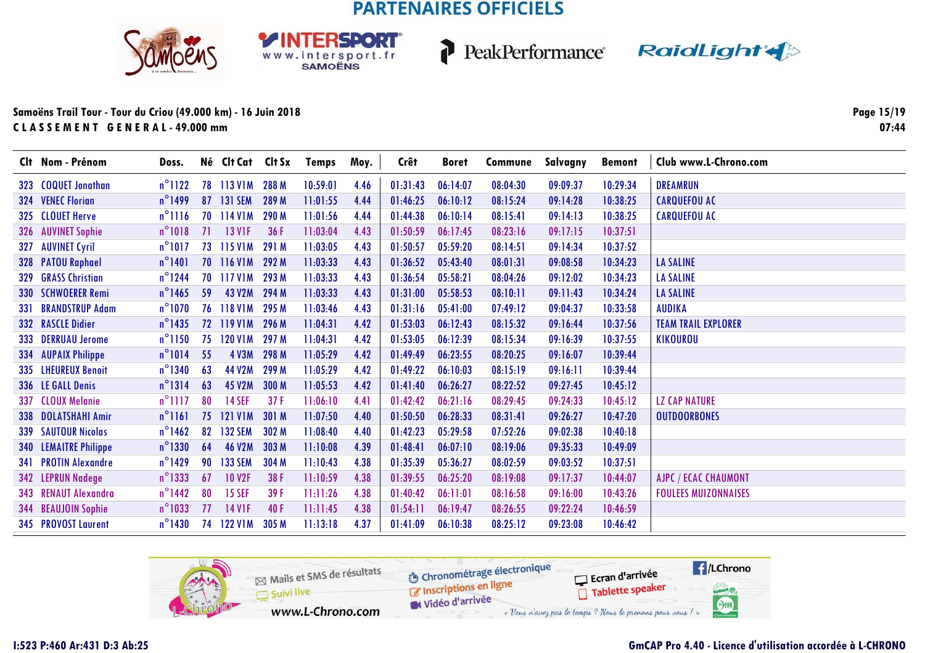**RSDORT** 

WWW.intersport.fr



P



#### **Samoëns Trail Tour - Tour du Criou (49.000 km) - 16 Juin 2018C L A S S E M E N T G E N E R A L - 49.000 mm**

**Page 15/1907:44**

| Clt Nom - Prénom             | Doss.            |           | Né Clt Cat Clt Sx |       | Temps    | Moy. | Crêt     | <b>Boret</b> | <b>Commune</b> | Salvagny | <b>Bemont</b> | Club www.L-Chrono.com       |
|------------------------------|------------------|-----------|-------------------|-------|----------|------|----------|--------------|----------------|----------|---------------|-----------------------------|
| 323 COQUET Jonathan          | $n^{\circ}$ 1122 |           | 78 113 V1M 288 M  |       | 10:59:01 | 4.46 | 01:31:43 | 06:14:07     | 08:04:30       | 09:09:37 | 10:29:34      | <b>DREAMRUN</b>             |
| <b>324 VENEC Florian</b>     | $n^{\circ}$ 1499 |           | 87 131 SEM        | 289 M | 11:01:55 | 4.44 | 01:46:25 | 06:10:12     | 08:15:24       | 09:14:28 | 10:38:25      | <b>CARQUEFOU AC</b>         |
| 325 CLOUET Herve             | $n^{\circ}$ 1116 |           | 70 114 V1M        | 290 M | 11:01:56 | 4.44 | 01:44:38 | 06:10:14     | 08:15:41       | 09:14:13 | 10:38:25      | <b>CARQUEFOU AC</b>         |
| 326 AUVINET Sophie           | $n^{\circ}1018$  | <b>71</b> | <b>13 VIF</b>     | 36 F  | 11:03:04 | 4.43 | 01:50:59 | 06:17:45     | 08:23:16       | 09:17:15 | 10:37:51      |                             |
| 327 AUVINET Cyril            | $n^{\circ}1017$  |           | 73 115 V1M        | 291 M | 11:03:05 | 4.43 | 01:50:57 | 05:59:20     | 08:14:51       | 09:14:34 | 10:37:52      |                             |
| 328 PATOU Raphael            | $n^{\circ}$ 1401 |           | 70 116 V1M 292 M  |       | 11:03:33 | 4.43 | 01:36:52 | 05:43:40     | 08:01:31       | 09:08:58 | 10:34:23      | <b>LA SALINE</b>            |
| 329 GRASS Christian          | $n^{\circ}$ 1244 |           | 70 117 V1M        | 293 M | 11:03:33 | 4.43 | 01:36:54 | 05:58:21     | 08:04:26       | 09:12:02 | 10:34:23      | <b>LA SALINE</b>            |
| <b>330 SCHWOERER Remi</b>    | $n^{\circ}$ 1465 | 59        | 43 V2M 294 M      |       | 11:03:33 | 4.43 | 01:31:00 | 05:58:53     | 08:10:11       | 09:11:43 | 10:34:24      | LA SALINE                   |
| 331 BRANDSTRUP Adam          | $n^{\circ}$ 1070 |           | <b>76 118 V1M</b> | 295 M | 11:03:46 | 4.43 | 01:31:16 | 05:41:00     | 07:49:12       | 09:04:37 | 10:33:58      | <b>AUDIKA</b>               |
| 332 RASCLE Didier            | $n^{\circ}$ 1435 |           | 72 119 V1M 296 M  |       | 11:04:31 | 4.42 | 01:53:03 | 06:12:43     | 08:15:32       | 09:16:44 | 10:37:56      | <b>TEAM TRAIL EXPLORER</b>  |
| 333 DERRUAU Jerome           | $n^{\circ}$ 1150 | 75        | <b>120 V1M</b>    | 297 M | 11:04:31 | 4.42 | 01:53:05 | 06:12:39     | 08:15:34       | 09:16:39 | 10:37:55      | <b>KIKOUROU</b>             |
| 334 AUPAIX Philippe          | $n^{\circ}1014$  | 55        | <b>4 V3M</b>      | 298 M | 11:05:29 | 4.42 | 01:49:49 | 06:23:55     | 08:20:25       | 09:16:07 | 10:39:44      |                             |
| <b>335 LHEUREUX Benoit</b>   | $n^{\circ}$ 1340 | 63        | 44 V2M            | 299 M | 11:05:29 | 4.42 | 01:49:22 | 06:10:03     | 08:15:19       | 09:16:11 | 10:39:44      |                             |
| 336 LE GALL Denis            | $n^{\circ}$ 1314 | 63        | <b>45 V2M</b>     | 300 M | 11:05:53 | 4.42 | 01:41:40 | 06:26:27     | 08:22:52       | 09:27:45 | 10:45:12      |                             |
| 337 CLOUX Melanie            | $n^{\circ}$ 1117 | 80        | <b>14 SEF</b>     | 37F   | 11:06:10 | 4.41 | 01:42:42 | 06:21:16     | 08:29:45       | 09:24:33 | 10:45:12      | <b>LZ CAP NATURE</b>        |
| 338 DOLATSHAHI Amir          | $n^{\circ}1161$  | 75        | <b>121 V1M</b>    | 301 M | 11:07:50 | 4.40 | 01:50:50 | 06:28:33     | 08:31:41       | 09:26:27 | 10:47:20      | <b>OUTDOORBONES</b>         |
| <b>339 SAUTOUR Nicolas</b>   | $n^{\circ}$ 1462 | 82        | <b>132 SEM</b>    | 302 M | 11:08:40 | 4.40 | 01:42:23 | 05:29:58     | 07:52:26       | 09:02:38 | 10:40:18      |                             |
| <b>340 LEMAITRE Philippe</b> | $n^{\circ}$ 1330 | 64        | <b>46 V2M</b>     | 303 M | 11:10:08 | 4.39 | 01:48:41 | 06:07:10     | 08:19:06       | 09:35:33 | 10:49:09      |                             |
| 341 PROTIN Alexandre         | $n^{\circ}$ 1429 | 90        | <b>133 SEM</b>    | 304 M | 11:10:43 | 4.38 | 01:35:39 | 05:36:27     | 08:02:59       | 09:03:52 | 10:37:51      |                             |
| 342 LEPRUN Nadege            | $n^{\circ}$ 1333 | 67        | <b>10 V2F</b>     | 38 F  | 11:10:59 | 4.38 | 01:39:55 | 06:25:20     | 08:19:08       | 09:17:37 | 10:44:07      | AJPC / ECAC CHAUMONT        |
| 343 RENAUT Alexandra         | $n^{\circ}$ 1442 | 80        | <b>15 SEF</b>     | 39 F  | 11:11:26 | 4.38 | 01:40:42 | 06:11:01     | 08:16:58       | 09:16:00 | 10:43:26      | <b>FOULEES MUIZONNAISES</b> |
| 344 BEAUJOIN Sophie          | $n^{\circ}$ 1033 | 77        | 14 V1F            | 40F   | 11:11:45 | 4.38 | 01:54:11 | 06:19:47     | 08:26:55       | 09:22:24 | 10:46:59      |                             |
| 345 PROVOST Laurent          | $n^{\circ}$ 1430 | 74        | <b>122 V1M</b>    | 305 M | 11:13:18 | 4.37 | 01:41:09 | 06:10:38     | 08:25:12       | 09:23:08 | 10:46:42      |                             |

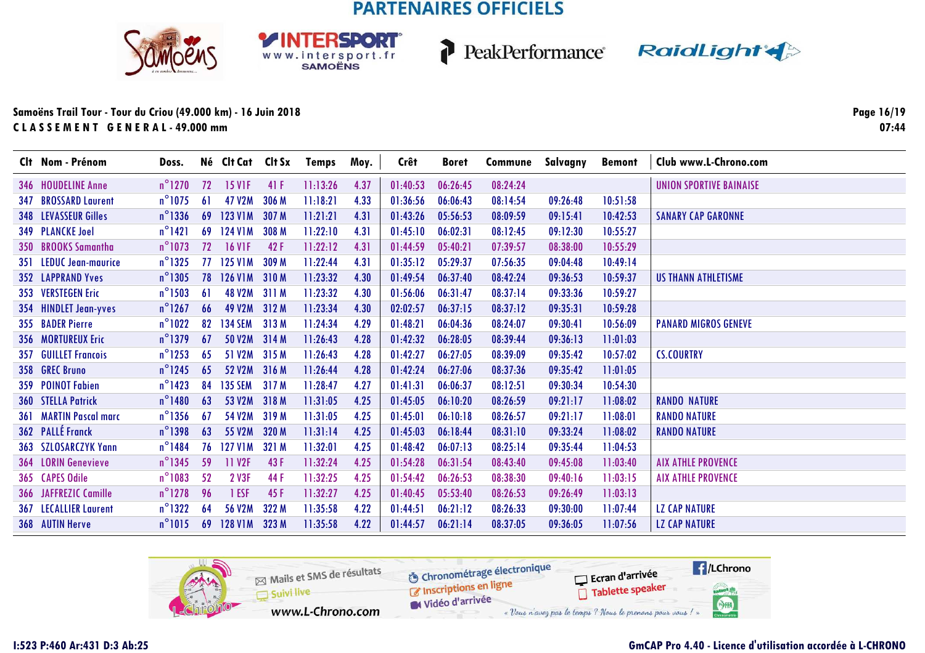**RSDORT** 

WWW.intersport.fr





#### **Samoëns Trail Tour - Tour du Criou (49.000 km) - 16 Juin 2018C L A S S E M E N T G E N E R A L - 49.000 mm**

**Page 16/1907:44**

| Clt Nom - Prénom              | Doss.            |     | Né Clt Cat Clt Sx   |       | <b>Temps</b> | Moy. | Crêt     | <b>Boret</b> | Commune  | Salvagny | <b>Bemont</b> | Club www.L-Chrono.com          |
|-------------------------------|------------------|-----|---------------------|-------|--------------|------|----------|--------------|----------|----------|---------------|--------------------------------|
| 346 HOUDELINE Anne            | $n^{\circ}$ 1270 | 72  | <b>15 VIF</b>       | 41F   | 11:13:26     | 4.37 | 01:40:53 | 06:26:45     | 08:24:24 |          |               | <b>UNION SPORTIVE BAINAISE</b> |
| <b>347 BROSSARD Laurent</b>   | $n^{\circ}$ 1075 | 61  | 47 V2M              | 306 M | 11:18:21     | 4.33 | 01:36:56 | 06:06:43     | 08:14:54 | 09:26:48 | 10:51:58      |                                |
| <b>348 LEVASSEUR Gilles</b>   | $n^{\circ}$ 1336 | 69  | <b>123 V1M</b>      | 307 M | 11:21:21     | 4.31 | 01:43:26 | 05:56:53     | 08:09:59 | 09:15:41 | 10:42:53      | <b>SANARY CAP GARONNE</b>      |
| <b>349 PLANCKE Joel</b>       | $n^{\circ}$ 1421 | 69  | <b>124 V1M</b>      | 308 M | 11:22:10     | 4.31 | 01:45:10 | 06:02:31     | 08:12:45 | 09:12:30 | 10:55:27      |                                |
| 350 BROOKS Samantha           | $n^{\circ}$ 1073 | 72  | <b>16 VIF</b>       | 42 F  | 11:22:12     | 4.31 | 01:44:59 | 05:40:21     | 07:39:57 | 08:38:00 | 10:55:29      |                                |
| 351 LEDUC Jean-maurice        | $n^{\circ}$ 1325 | -77 | <b>125 V1M</b>      | 309 M | 11:22:44     | 4.31 | 01:35:12 | 05:29:37     | 07:56:35 | 09:04:48 | 10:49:14      |                                |
| <b>352 LAPPRAND Yves</b>      | $n^{\circ}$ 1305 | 78  | <b>126 V1M</b>      | 310M  | 11:23:32     | 4.30 | 01:49:54 | 06:37:40     | 08:42:24 | 09:36:53 | 10:59:37      | <b>US THANN ATHLETISME</b>     |
| 353 VERSTEGEN Eric            | $n^{\circ}$ 1503 | 61  | <b>48 V2M</b>       | 311 M | 11:23:32     | 4.30 | 01:56:06 | 06:31:47     | 08:37:14 | 09:33:36 | 10:59:27      |                                |
| 354 HINDLET Jean-yves         | $n^{\circ}$ 1267 | 66  | 49 V2M              | 312 M | 11:23:34     | 4.30 | 02:02:57 | 06:37:15     | 08:37:12 | 09:35:31 | 10:59:28      |                                |
| 355 BADER Pierre              | $n^{\circ}$ 1022 | 82  | <b>134 SEM</b>      | 313 M | 11:24:34     | 4.29 | 01:48:21 | 06:04:36     | 08:24:07 | 09:30:41 | 10:56:09      | <b>PANARD MIGROS GENEVE</b>    |
| <b>356 MORTUREUX Eric</b>     | $n^{\circ}$ 1379 | 67  | 50 V2M              | 314 M | 11:26:43     | 4.28 | 01:42:32 | 06:28:05     | 08:39:44 | 09:36:13 | 11:01:03      |                                |
| <b>357 GUILLET Francois</b>   | $n^{\circ}$ 1253 | 65  | 51 V2M              | 315 M | 11:26:43     | 4.28 | 01:42:27 | 06:27:05     | 08:39:09 | 09:35:42 | 10:57:02      | <b>CS.COURTRY</b>              |
| 358 GREC Bruno                | $n^{\circ}$ 1245 | 65  | 52 V2M              | 316 M | 11:26:44     | 4.28 | 01:42:24 | 06:27:06     | 08:37:36 | 09:35:42 | 11:01:05      |                                |
| 359 POINOT Fabien             | $n^{\circ}$ 1423 | 84  | <b>135 SEM</b>      | 317 M | 11:28:47     | 4.27 | 01:41:31 | 06:06:37     | 08:12:51 | 09:30:34 | 10:54:30      |                                |
| 360 STELLA Patrick            | $n^{\circ}$ 1480 | 63  | 53 V2M              | 318 M | 11:31:05     | 4.25 | 01:45:05 | 06:10:20     | 08:26:59 | 09:21:17 | 11:08:02      | <b>RANDO NATURE</b>            |
| <b>361 MARTIN Pascal marc</b> | $n^{\circ}$ 1356 | 67  | 54 V2M              | 319 M | 11:31:05     | 4.25 | 01:45:01 | 06:10:18     | 08:26:57 | 09:21:17 | 11:08:01      | <b>RANDO NATURE</b>            |
| 362 PALLÉ Franck              | $n^{\circ}$ 1398 | 63  | 55 V2M              | 320 M | 11:31:14     | 4.25 | 01:45:03 | 06:18:44     | 08:31:10 | 09:33:24 | 11:08:02      | <b>RANDO NATURE</b>            |
| 363 SZLOSARCZYK Yann          | $n^{\circ}$ 1484 | 76  | <b>127 V1M</b>      | 321 M | 11:32:01     | 4.25 | 01:48:42 | 06:07:13     | 08:25:14 | 09:35:44 | 11:04:53      |                                |
| 364 LORIN Genevieve           | $n^{\circ}$ 1345 | 59  | 11 V <sub>2</sub> F | 43 F  | 11:32:24     | 4.25 | 01:54:28 | 06:31:54     | 08:43:40 | 09:45:08 | 11:03:40      | <b>AIX ATHLE PROVENCE</b>      |
| 365 CAPES Odile               | $n^{\circ}$ 1083 | 52  | 2 V3F               | 44 F  | 11:32:25     | 4.25 | 01:54:42 | 06:26:53     | 08:38:30 | 09:40:16 | 11:03:15      | <b>AIX ATHLE PROVENCE</b>      |
| 366 JAFFREZIC Camille         | $n^{\circ}$ 1278 | 96  | 1 ESF               | 45 F  | 11:32:27     | 4.25 | 01:40:45 | 05:53:40     | 08:26:53 | 09:26:49 | 11:03:13      |                                |
| <b>367 LECALLIER Laurent</b>  | $n^{\circ}$ 1322 | 64  | 56 V2M              | 322 M | 11:35:58     | 4.22 | 01:44:51 | 06:21:12     | 08:26:33 | 09:30:00 | 11:07:44      | <b>LZ CAP NATURE</b>           |
| 368 AUTIN Herve               | $n^{\circ}1015$  | 69  | <b>128 V1M</b>      | 323 M | 11:35:58     | 4.22 | 01:44:57 | 06:21:14     | 08:37:05 | 09:36:05 | 11:07:56      | <b>LZ CAP NATURE</b>           |

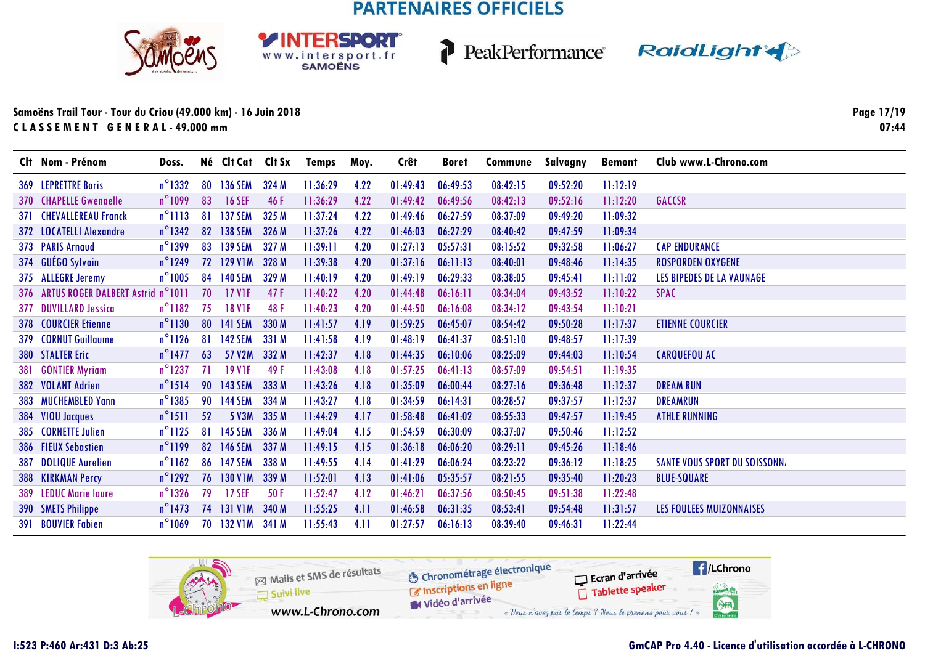**SPORT** 

WWW.intersport.fr





#### **Samoëns Trail Tour - Tour du Criou (49.000 km) - 16 Juin 2018C L A S S E M E N T G E N E R A L - 49.000 mm**

**Page 17/1907:44**

|     | Clt Nom - Prénom                      | Doss.            |    | Né Clt Cat Clt Sx |       | Temps    | Moy. | Crêt     | <b>Boret</b> | <b>Commune</b> | Salvagny | <b>Bemont</b> | Club www.L-Chrono.com                |
|-----|---------------------------------------|------------------|----|-------------------|-------|----------|------|----------|--------------|----------------|----------|---------------|--------------------------------------|
|     | <b>369 LEPRETTRE Boris</b>            | $n^{\circ}$ 1332 |    | 80 136 SEM        | 324 M | 11:36:29 | 4.22 | 01:49:43 | 06:49:53     | 08:42:15       | 09:52:20 | 11:12:19      |                                      |
|     | <b>370 CHAPELLE Gwenaelle</b>         | $n^{\circ}1099$  | 83 | <b>16 SEF</b>     | 46 F  | 11:36:29 | 4.22 | 01:49:42 | 06:49:56     | 08:42:13       | 09:52:16 | 11:12:20      | GACCSR                               |
| 371 | <b>CHEVALLEREAU Franck</b>            | $n^{\circ}$ 1113 | 81 | <b>137 SEM</b>    | 325 M | 11:37:24 | 4.22 | 01:49:46 | 06:27:59     | 08:37:09       | 09:49:20 | 11:09:32      |                                      |
|     | 372 LOCATELLI Alexandre               | $n^{\circ}$ 1342 |    | 82 138 SEM        | 326 M | 11:37:26 | 4.22 | 01:46:03 | 06:27:29     | 08:40:42       | 09:47:59 | 11:09:34      |                                      |
|     | 373 PARIS Arnaud                      | $n^{\circ}$ 1399 | 83 | <b>139 SEM</b>    | 327 M | 11:39:11 | 4.20 | 01:27:13 | 05:57:31     | 08:15:52       | 09:32:58 | 11:06:27      | <b>CAP ENDURANCE</b>                 |
|     | 374 GUÉGO Sylvain                     | $n^{\circ}$ 1249 |    | 72 129 V1M        | 328 M | 11:39:38 | 4.20 | 01:37:16 | 06:11:13     | 08:40:01       | 09:48:46 | 11:14:35      | <b>ROSPORDEN OXYGENE</b>             |
|     | 375 ALLEGRE Jeremy                    | $n^{\circ}$ 1005 | 84 | <b>140 SEM</b>    | 329 M | 11:40:19 | 4.20 | 01:49:19 | 06:29:33     | 08:38:05       | 09:45:41 | 11:11:02      | LES BIPEDES DE LA VAUNAGE            |
|     | 376 ARTUS ROGER DALBERT Astrid n°1011 |                  | 70 | <b>17 V1F</b>     | 47F   | 11:40:22 | 4.20 | 01:44:48 | 06:16:11     | 08:34:04       | 09:43:52 | 11:10:22      | <b>SPAC</b>                          |
| 377 | <b>DUVILLARD Jessica</b>              | $n^{\circ}1182$  | 75 | <b>18 V1F</b>     | 48 F  | 11:40:23 | 4.20 | 01:44:50 | 06:16:08     | 08:34:12       | 09:43:54 | 11:10:21      |                                      |
|     | <b>378 COURCIER Etienne</b>           | $n^{\circ}$ 1130 | 80 | <b>141 SEM</b>    | 330 M | 11:41:57 | 4.19 | 01:59:25 | 06:45:07     | 08:54:42       | 09:50:28 | 11:17:37      | <b>ETIENNE COURCIER</b>              |
|     | <b>379 CORNUT Guillaume</b>           | $n^{\circ}$ 1126 | 81 | <b>142 SEM</b>    | 331 M | 11:41:58 | 4.19 | 01:48:19 | 06:41:37     | 08:51:10       | 09:48:57 | 11:17:39      |                                      |
|     | <b>380 STALTER Eric</b>               | $n^{\circ}$ 1477 | 63 | 57 V2M            | 332 M | 11:42:37 | 4.18 | 01:44:35 | 06:10:06     | 08:25:09       | 09:44:03 | 11:10:54      | <b>CARQUEFOU AC</b>                  |
| 381 | <b>GONTIER Myriam</b>                 | $n^{\circ}$ 1237 | 71 | <b>19 V1F</b>     | 49 F  | 11:43:08 | 4.18 | 01:57:25 | 06:41:13     | 08:57:09       | 09:54:51 | 11:19:35      |                                      |
|     | 382 VOLANT Adrien                     | $n^{\circ}$ 1514 | 90 | <b>143 SEM</b>    | 333 M | 11:43:26 | 4.18 | 01:35:09 | 06:00:44     | 08:27:16       | 09:36:48 | 11:12:37      | <b>DREAM RUN</b>                     |
|     | 383 MUCHEMBLED Yann                   | $n^{\circ}$ 1385 | 90 | <b>144 SEM</b>    | 334 M | 11:43:27 | 4.18 | 01:34:59 | 06:14:31     | 08:28:57       | 09:37:57 | 11:12:37      | <b>DREAMRUN</b>                      |
|     | 384 VIOU Jacques                      | $n^{\circ}1511$  | 52 | 5 V3M             | 335 M | 11:44:29 | 4.17 | 01:58:48 | 06:41:02     | 08:55:33       | 09:47:57 | 11:19:45      | <b>ATHLE RUNNING</b>                 |
|     | 385 CORNETTE Julien                   | $n^{\circ}$ 1125 | 81 | <b>145 SEM</b>    | 336 M | 11:49:04 | 4.15 | 01:54:59 | 06:30:09     | 08:37:07       | 09:50:46 | 11:12:52      |                                      |
|     | 386 FIEUX Sebastien                   | $n^{\circ}$ 1199 | 82 | <b>146 SEM</b>    | 337 M | 11:49:15 | 4.15 | 01:36:18 | 06:06:20     | 08:29:11       | 09:45:26 | 11:18:46      |                                      |
|     | <b>387 DOLIQUE Aurelien</b>           | $n^{\circ}$ 1162 | 86 | <b>147 SEM</b>    | 338 M | 11:49:55 | 4.14 | 01:41:29 | 06:06:24     | 08:23:22       | 09:36:12 | 11:18:25      | <b>SANTE VOUS SPORT DU SOISSONN.</b> |
|     | 388 KIRKMAN Percy                     | $n^{\circ}$ 1292 | 76 | 130 V1M           | 339 M | 11:52:01 | 4.13 | 01:41:06 | 05:35:57     | 08:21:55       | 09:35:40 | 11:20:23      | <b>BLUE-SQUARE</b>                   |
|     | 389 LEDUC Marie laure                 | $n^{\circ}$ 1326 | 79 | <b>17 SEF</b>     | 50 F  | 11:52:47 | 4.12 | 01:46:21 | 06:37:56     | 08:50:45       | 09:51:38 | 11:22:48      |                                      |
|     | <b>390 SMETS Philippe</b>             | $n^{\circ}$ 1473 | 74 | <b>131 V1M</b>    | 340 M | 11:55:25 | 4.11 | 01:46:58 | 06:31:35     | 08:53:41       | 09:54:48 | 11:31:57      | <b>LES FOULEES MUIZONNAISES</b>      |
|     | 391 BOUVIER Fabien                    | $n^{\circ}1069$  |    | 70 132 V1M        | 341 M | 11:55:43 | 4.11 | 01:27:57 | 06:16:13     | 08:39:40       | 09:46:31 | 11:22:44      |                                      |

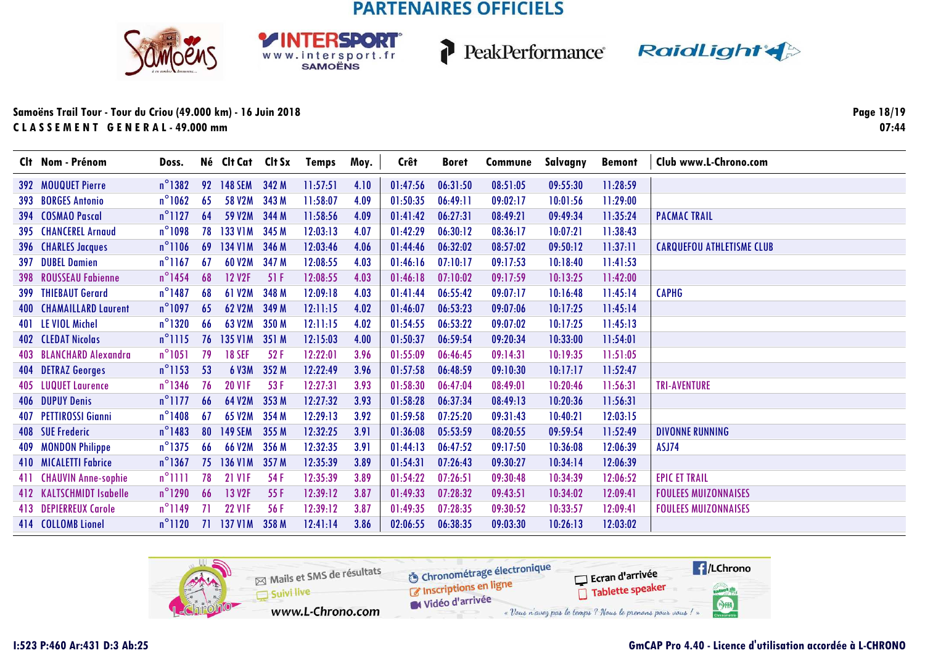**RSDORT** 

WWW.intersport.fr



P



#### **Samoëns Trail Tour - Tour du Criou (49.000 km) - 16 Juin 2018C L A S S E M E N T G E N E R A L - 49.000 mm**

**Page 18/1907:44**

|     | Clt Nom - Prénom            | Doss.            |    | Né Clt Cat Clt Sx   |       | Temps    | Moy. | Crêt     | <b>Boret</b> | <b>Commune</b> | Salvagny | <b>Bemont</b> | Club www.L-Chrono.com            |
|-----|-----------------------------|------------------|----|---------------------|-------|----------|------|----------|--------------|----------------|----------|---------------|----------------------------------|
|     | 392 MOUQUET Pierre          | $n^{\circ}$ 1382 |    | 92 148 SEM          | 342 M | 11:57:51 | 4.10 | 01:47:56 | 06:31:50     | 08:51:05       | 09:55:30 | 11:28:59      |                                  |
|     | 393 BORGES Antonio          | $n^{\circ}1062$  | 65 | 58 V2M              | 343 M | 11:58:07 | 4.09 | 01:50:35 | 06:49:11     | 09:02:17       | 10:01:56 | 11:29:00      |                                  |
|     | 394 COSMAO Pascal           | $n^{\circ}$ 1127 | 64 | 59 V2M              | 344 M | 11:58:56 | 4.09 | 01:41:42 | 06:27:31     | 08:49:21       | 09:49:34 | 11:35:24      | <b>PACMAC TRAIL</b>              |
|     | <b>395 CHANCEREL Arnaud</b> | $n^{\circ}$ 1098 | 78 | 133 V1M             | 345 M | 12:03:13 | 4.07 | 01:42:29 | 06:30:12     | 08:36:17       | 10:07:21 | 11:38:43      |                                  |
|     | 396 CHARLES Jacques         | $n^{\circ}$ 1106 | 69 | 134 V1M             | 346 M | 12:03:46 | 4.06 | 01:44:46 | 06:32:02     | 08:57:02       | 09:50:12 | 11:37:11      | <b>CARQUEFOU ATHLETISME CLUB</b> |
|     | 397 DUBEL Damien            | $n^{\circ}$ 1167 | 67 | 60 V <sub>2</sub> M | 347 M | 12:08:55 | 4.03 | 01:46:16 | 07:10:17     | 09:17:53       | 10:18:40 | 11:41:53      |                                  |
|     | 398 ROUSSEAU Fabienne       | $n^{\circ}$ 1454 | 68 | <b>12 V2F</b>       | 51F   | 12:08:55 | 4.03 | 01:46:18 | 07:10:02     | 09:17:59       | 10:13:25 | 11:42:00      |                                  |
|     | <b>399 THIEBAUT Gerard</b>  | $n^{\circ}$ 1487 | 68 | 61 V <sub>2</sub> M | 348 M | 12:09:18 | 4.03 | 01:41:44 | 06:55:42     | 09:07:17       | 10:16:48 | 11:45:14      | <b>CAPHG</b>                     |
| 400 | <b>CHAMAILLARD Laurent</b>  | $n^{\circ}$ 1097 | 65 | 62 V2M              | 349 M | 12:11:15 | 4.02 | 01:46:07 | 06:53:23     | 09:07:06       | 10:17:25 | 11:45:14      |                                  |
|     | 401 LE VIOL Michel          | $n^{\circ}$ 1320 | 66 | 63 V2M              | 350 M | 12:11:15 | 4.02 | 01:54:55 | 06:53:22     | 09:07:02       | 10:17:25 | 11:45:13      |                                  |
|     | <b>402 CLEDAT Nicolas</b>   | $n^{\circ}$ 1115 | 76 | <b>135 V1M</b>      | 351 M | 12:15:03 | 4.00 | 01:50:37 | 06:59:54     | 09:20:34       | 10:33:00 | 11:54:01      |                                  |
|     | 403 BLANCHARD Alexandra     | $n^{\circ}1051$  | 79 | <b>18 SEF</b>       | 52F   | 12:22:01 | 3.96 | 01:55:09 | 06:46:45     | 09:14:31       | 10:19:35 | 11:51:05      |                                  |
|     | 404 DETRAZ Georges          | $n^{\circ}$ 1153 | 53 | 6 V3M               | 352 M | 12:22:49 | 3.96 | 01:57:58 | 06:48:59     | 09:10:30       | 10:17:17 | 11:52:47      |                                  |
|     | <b>405 LUQUET Laurence</b>  | $n^{\circ}$ 1346 | 76 | <b>20 V1F</b>       | 53 F  | 12:27:31 | 3.93 | 01:58:30 | 06:47:04     | 08:49:01       | 10:20:46 | 11:56:31      | <b>TRI-AVENTURE</b>              |
|     | 406 DUPUY Denis             | $n^{\circ}$ 1177 | 66 | 64 V2M              | 353 M | 12:27:32 | 3.93 | 01:58:28 | 06:37:34     | 08:49:13       | 10:20:36 | 11:56:31      |                                  |
|     | 407 PETTIROSSI Gianni       | $n^{\circ}$ 1408 | 67 | 65 V2M              | 354 M | 12:29:13 | 3.92 | 01:59:58 | 07:25:20     | 09:31:43       | 10:40:21 | 12:03:15      |                                  |
|     | 408 SUE Frederic            | $n^{\circ}$ 1483 | 80 | <b>149 SEM</b>      | 355 M | 12:32:25 | 3.91 | 01:36:08 | 05:53:59     | 08:20:55       | 09:59:54 | 11:52:49      | <b>DIVONNE RUNNING</b>           |
|     | 409 MONDON Philippe         | $n^{\circ}$ 1375 | 66 | 66 V2M              | 356 M | 12:32:35 | 3.91 | 01:44:13 | 06:47:52     | 09:17:50       | 10:36:08 | 12:06:39      | ASJ74                            |
|     | 410 MICALETTI Fabrice       | $n^{\circ}$ 1367 | 75 | <b>136 V1M</b>      | 357 M | 12:35:39 | 3.89 | 01:54:31 | 07:26:43     | 09:30:27       | 10:34:14 | 12:06:39      |                                  |
|     | 411 CHAUVIN Anne-sophie     | $n^{\circ}$ 1111 | 78 | <b>21 V1F</b>       | 54 F  | 12:35:39 | 3.89 | 01:54:22 | 07:26:51     | 09:30:48       | 10:34:39 | 12:06:52      | <b>EPIC ET TRAIL</b>             |
|     | 412 KALTSCHMIDT Isabelle    | $n^{\circ}$ 1290 | 66 | 13 V <sub>2F</sub>  | 55 F  | 12:39:12 | 3.87 | 01:49:33 | 07:28:32     | 09:43:51       | 10:34:02 | 12:09:41      | <b>FOULEES MUIZONNAISES</b>      |
|     | 413 DEPIERREUX Carole       | $n^{\circ}$ 1149 | 71 | <b>22 V1F</b>       | 56 F  | 12:39:12 | 3.87 | 01:49:35 | 07:28:35     | 09:30:52       | 10:33:57 | 12:09:41      | <b>FOULEES MUIZONNAISES</b>      |
|     | 414 COLLOMB Lionel          | $n^{\circ}$ 1120 | 71 | 137 V1M             | 358 M | 12:41:14 | 3.86 | 02:06:55 | 06:38:35     | 09:03:30       | 10:26:13 | 12:03:02      |                                  |